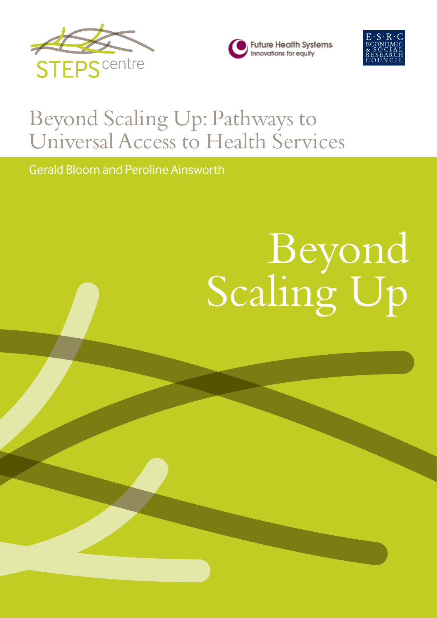





## Beyond Scaling Up: Pathways to Universal Access to Health Services

Gerald Bloom and Peroline Ainsworth

# Beyond Scaling Up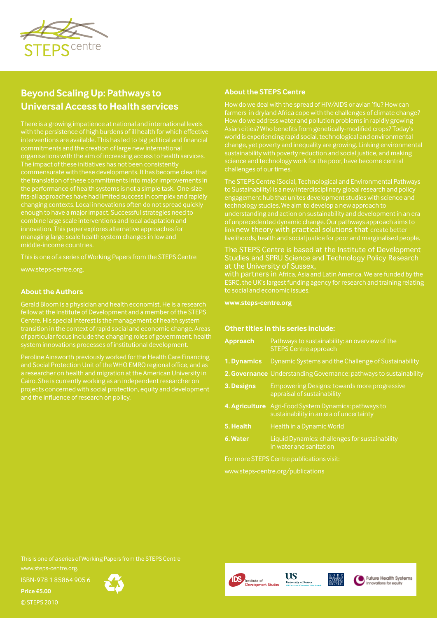

#### **Beyond Scaling Up: Pathways to Universal Access to Health services**

interventions are available. This has led to big political and financial commitments and the creation of large new international changing contexts. Local innovations often do not spread quickly enough to have a major impact. Successful strategies need to innovation. This paper explores alternative approaches for managing large scale health system changes in low and

This is one of a series of Working Papers from the STEPS Centre

www.steps-centre.org.

#### **About the Authors**

Gerald Bloom is a physician and health economist. He is a research fellow at the Institute of Development and a member of the STEPS Centre. His special interest is the management of health system of particular focus include the changing roles of government, health

a researcher on health and migration at the American University in

#### **About the STEPS Centre**

How do we address water and pollution problems in rapidly growing world is experiencing rapid social, technological and environmental science and technology work for the poor, have become central

The STEPS Centre (Social, Technological and Environmental Pathways to Sustainability) is a new interdisciplinary global research and policy engagement hub that unites development studies with science and technology studies. We aim to develop a new approach to understanding and action on sustainability and development in an era of unprecedented dynamic change. Our pathways approach aims to link new theory with practical solutions that create better livelihoods, health and social justice for poor and marginalised people.

#### The STEPS Centre is based at the Institute of Development Studies and SPRU Science and Technology Policy Research

with partners in Africa, Asia and Latin America. We are funded by the to social and economic issues.

**www.steps-centre.org**

#### **Other titles in this series include:**

|                                   | <b>Approach</b> | Pathways to sustainability: an overview of the<br><b>STEPS Centre approach</b>                   |  |
|-----------------------------------|-----------------|--------------------------------------------------------------------------------------------------|--|
|                                   | 1. Dynamics     | Dynamic Systems and the Challenge of Sustainability                                              |  |
|                                   |                 | 2. Governance Understanding Governance: pathways to sustainability                               |  |
|                                   | 3. Designs      | <b>Empowering Designs: towards more progressive</b><br>appraisal of sustainability               |  |
|                                   |                 | 4. Agriculture Agri-Food System Dynamics: pathways to<br>sustainability in an era of uncertainty |  |
|                                   | 5. Health       | Health in a Dynamic World                                                                        |  |
|                                   | 6. Water        | Liquid Dynamics: challenges for sustainability<br>in water and sanitation                        |  |
|                                   |                 | For more STEPS Centre publications visit:                                                        |  |
| www.steps-centre.org/publications |                 |                                                                                                  |  |

This is one of a series of Working Papers from the STEPS Centre

www.steps-centre.org.

ISBN-978 1 85864 905 6

**Price £5.00**

© STEPS 2010











Future Health Systems nnovations for equit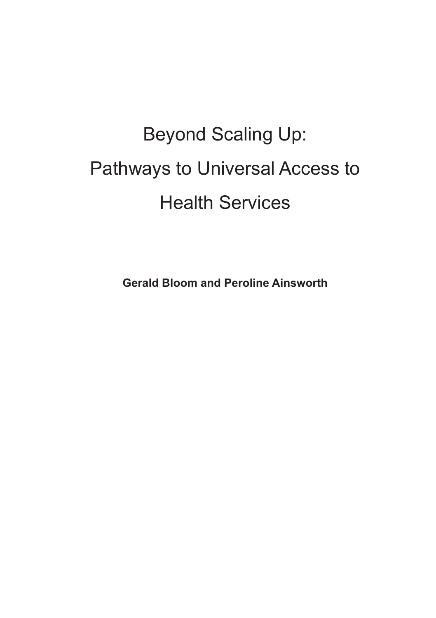### Beyond Scaling Up: Pathways to Universal Access to Health Services

**Gerald Bloom and Peroline Ainsworth**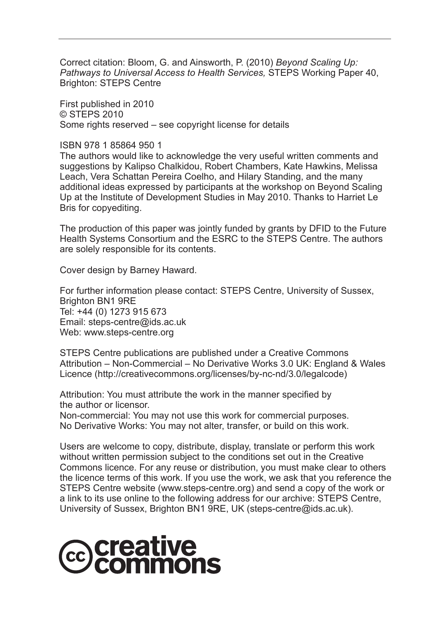Correct citation: Bloom, G. and Ainsworth, P. (2010) *Beyond Scaling Up: Pathways to Universal Access to Health Services,* STEPS Working Paper 40, Brighton: STEPS Centre

First published in 2010 © STEPS 2010 Some rights reserved – see copyright license for details

ISBN 978 1 85864 950 1

The authors would like to acknowledge the very useful written comments and suggestions by Kalipso Chalkidou, Robert Chambers, Kate Hawkins, Melissa Leach, Vera Schattan Pereira Coelho, and Hilary Standing, and the many additional ideas expressed by participants at the workshop on Beyond Scaling Up at the Institute of Development Studies in May 2010. Thanks to Harriet Le Bris for copyediting.

The production of this paper was jointly funded by grants by DFID to the Future Health Systems Consortium and the ESRC to the STEPS Centre. The authors are solely responsible for its contents.

Cover design by Barney Haward.

For further information please contact: STEPS Centre, University of Sussex, Brighton BN1 9RE Tel: +44 (0) 1273 915 673 Email: steps-centre@ids.ac.uk Web: www.steps-centre.org

STEPS Centre publications are published under a Creative Commons Attribution – Non-Commercial – No Derivative Works 3.0 UK: England & Wales Licence (http://creativecommons.org/licenses/by-nc-nd/3.0/legalcode)

Attribution: You must attribute the work in the manner specified by the author or licensor.

Non-commercial: You may not use this work for commercial purposes. No Derivative Works: You may not alter, transfer, or build on this work.

Users are welcome to copy, distribute, display, translate or perform this work without written permission subject to the conditions set out in the Creative Commons licence. For any reuse or distribution, you must make clear to others the licence terms of this work. If you use the work, we ask that you reference the STEPS Centre website (www.steps-centre.org) and send a copy of the work or a link to its use online to the following address for our archive: STEPS Centre, University of Sussex, Brighton BN1 9RE, UK (steps-centre@ids.ac.uk).

## **@creative<br>©commons**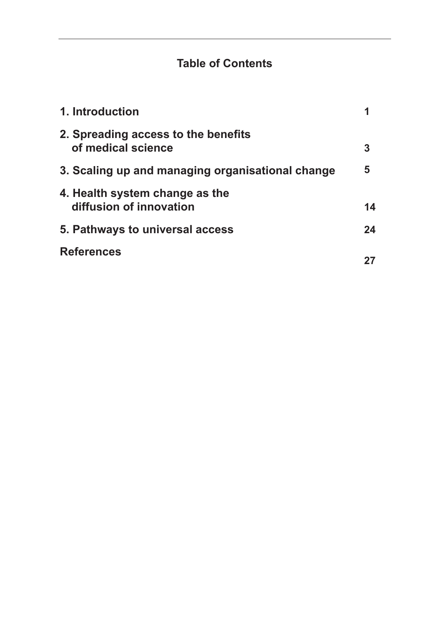#### **Table of Contents**

| 1. Introduction                                           |    |
|-----------------------------------------------------------|----|
| 2. Spreading access to the benefits<br>of medical science | 3  |
| 3. Scaling up and managing organisational change          | 5  |
| 4. Health system change as the<br>diffusion of innovation | 14 |
| 5. Pathways to universal access                           | 24 |
| <b>References</b>                                         |    |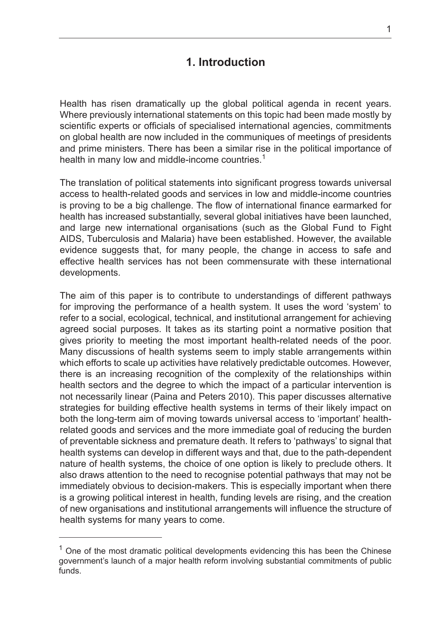#### **1. Introduction**

Health has risen dramatically up the global political agenda in recent years. Where previously international statements on this topic had been made mostly by scientific experts or officials of specialised international agencies, commitments on global health are now included in the communiques of meetings of presidents and prime ministers. There has been a similar rise in the political importance of health in many low and middle-income countries.<sup>1</sup>

The translation of political statements into significant progress towards universal access to health-related goods and services in low and middle-income countries is proving to be a big challenge. The flow of international finance earmarked for health has increased substantially, several global initiatives have been launched, and large new international organisations (such as the Global Fund to Fight AIDS, Tuberculosis and Malaria) have been established. However, the available evidence suggests that, for many people, the change in access to safe and effective health services has not been commensurate with these international developments.

The aim of this paper is to contribute to understandings of different pathways for improving the performance of a health system. It uses the word 'system' to refer to a social, ecological, technical, and institutional arrangement for achieving agreed social purposes. It takes as its starting point a normative position that gives priority to meeting the most important health-related needs of the poor. Many discussions of health systems seem to imply stable arrangements within which efforts to scale up activities have relatively predictable outcomes. However, there is an increasing recognition of the complexity of the relationships within health sectors and the degree to which the impact of a particular intervention is not necessarily linear (Paina and Peters 2010). This paper discusses alternative strategies for building effective health systems in terms of their likely impact on both the long-term aim of moving towards universal access to 'important' healthrelated goods and services and the more immediate goal of reducing the burden of preventable sickness and premature death. It refers to 'pathways' to signal that health systems can develop in different ways and that, due to the path-dependent nature of health systems, the choice of one option is likely to preclude others. It also draws attention to the need to recognise potential pathways that may not be immediately obvious to decision-makers. This is especially important when there is a growing political interest in health, funding levels are rising, and the creation of new organisations and institutional arrangements will influence the structure of health systems for many years to come.

 $1$  One of the most dramatic political developments evidencing this has been the Chinese government's launch of a major health reform involving substantial commitments of public funds.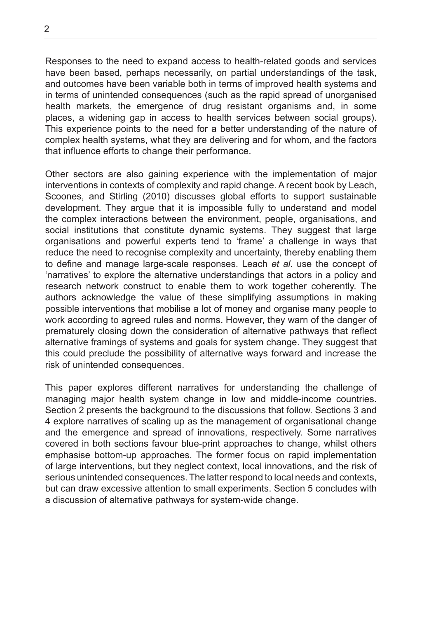Responses to the need to expand access to health-related goods and services have been based, perhaps necessarily, on partial understandings of the task, and outcomes have been variable both in terms of improved health systems and in terms of unintended consequences (such as the rapid spread of unorganised health markets, the emergence of drug resistant organisms and, in some places, a widening gap in access to health services between social groups). This experience points to the need for a better understanding of the nature of complex health systems, what they are delivering and for whom, and the factors that influence efforts to change their performance.

Other sectors are also gaining experience with the implementation of major interventions in contexts of complexity and rapid change. A recent book by Leach, Scoones, and Stirling (2010) discusses global efforts to support sustainable development. They argue that it is impossible fully to understand and model the complex interactions between the environment, people, organisations, and social institutions that constitute dynamic systems. They suggest that large organisations and powerful experts tend to 'frame' a challenge in ways that reduce the need to recognise complexity and uncertainty, thereby enabling them to define and manage large-scale responses. Leach *et al*. use the concept of 'narratives' to explore the alternative understandings that actors in a policy and research network construct to enable them to work together coherently. The authors acknowledge the value of these simplifying assumptions in making possible interventions that mobilise a lot of money and organise many people to work according to agreed rules and norms. However, they warn of the danger of prematurely closing down the consideration of alternative pathways that reflect alternative framings of systems and goals for system change. They suggest that this could preclude the possibility of alternative ways forward and increase the risk of unintended consequences.

This paper explores different narratives for understanding the challenge of managing major health system change in low and middle-income countries. Section 2 presents the background to the discussions that follow. Sections 3 and 4 explore narratives of scaling up as the management of organisational change and the emergence and spread of innovations, respectively. Some narratives covered in both sections favour blue-print approaches to change, whilst others emphasise bottom-up approaches. The former focus on rapid implementation of large interventions, but they neglect context, local innovations, and the risk of serious unintended consequences. The latter respond to local needs and contexts, but can draw excessive attention to small experiments. Section 5 concludes with a discussion of alternative pathways for system-wide change.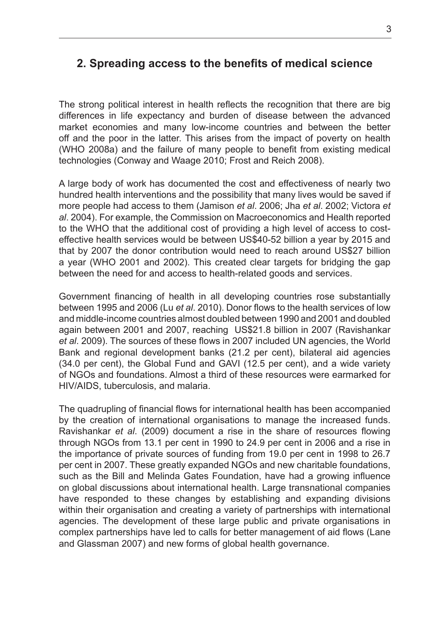#### **2. Spreading access to the benefits of medical science**

The strong political interest in health reflects the recognition that there are big differences in life expectancy and burden of disease between the advanced market economies and many low-income countries and between the better off and the poor in the latter. This arises from the impact of poverty on health (WHO 2008a) and the failure of many people to benefit from existing medical technologies (Conway and Waage 2010; Frost and Reich 2008).

A large body of work has documented the cost and effectiveness of nearly two hundred health interventions and the possibility that many lives would be saved if more people had access to them (Jamison *et al*. 2006; Jha *et al*. 2002; Victora *et al*. 2004). For example, the Commission on Macroeconomics and Health reported to the WHO that the additional cost of providing a high level of access to costeffective health services would be between US\$40-52 billion a year by 2015 and that by 2007 the donor contribution would need to reach around US\$27 billion a year (WHO 2001 and 2002). This created clear targets for bridging the gap between the need for and access to health-related goods and services.

Government financing of health in all developing countries rose substantially between 1995 and 2006 (Lu *et al*. 2010). Donor flows to the health services of low and middle-income countries almost doubled between 1990 and 2001 and doubled again between 2001 and 2007, reaching US\$21.8 billion in 2007 (Ravishankar *et al*. 2009). The sources of these flows in 2007 included UN agencies, the World Bank and regional development banks (21.2 per cent), bilateral aid agencies (34.0 per cent), the Global Fund and GAVI (12.5 per cent), and a wide variety of NGOs and foundations. Almost a third of these resources were earmarked for HIV/AIDS, tuberculosis, and malaria.

The quadrupling of financial flows for international health has been accompanied by the creation of international organisations to manage the increased funds. Ravishankar *et al*. (2009) document a rise in the share of resources flowing through NGOs from 13.1 per cent in 1990 to 24.9 per cent in 2006 and a rise in the importance of private sources of funding from 19.0 per cent in 1998 to 26.7 per cent in 2007. These greatly expanded NGOs and new charitable foundations, such as the Bill and Melinda Gates Foundation, have had a growing influence on global discussions about international health. Large transnational companies have responded to these changes by establishing and expanding divisions within their organisation and creating a variety of partnerships with international agencies. The development of these large public and private organisations in complex partnerships have led to calls for better management of aid flows (Lane and Glassman 2007) and new forms of global health governance.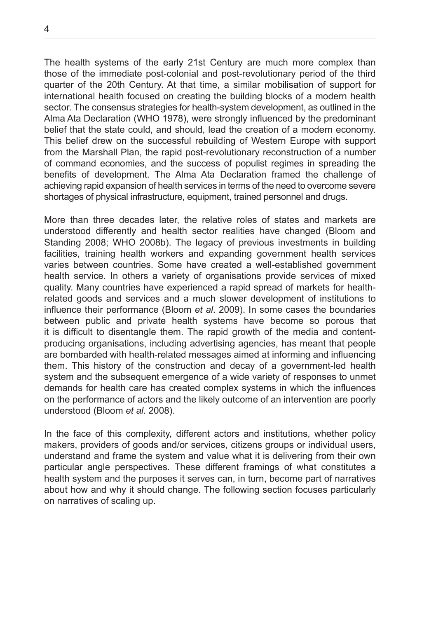The health systems of the early 21st Century are much more complex than those of the immediate post-colonial and post-revolutionary period of the third quarter of the 20th Century. At that time, a similar mobilisation of support for international health focused on creating the building blocks of a modern health sector. The consensus strategies for health-system development, as outlined in the Alma Ata Declaration (WHO 1978), were strongly influenced by the predominant belief that the state could, and should, lead the creation of a modern economy. This belief drew on the successful rebuilding of Western Europe with support from the Marshall Plan, the rapid post-revolutionary reconstruction of a number of command economies, and the success of populist regimes in spreading the benefits of development. The Alma Ata Declaration framed the challenge of achieving rapid expansion of health services in terms of the need to overcome severe shortages of physical infrastructure, equipment, trained personnel and drugs.

More than three decades later, the relative roles of states and markets are understood differently and health sector realities have changed (Bloom and Standing 2008; WHO 2008b). The legacy of previous investments in building facilities, training health workers and expanding government health services varies between countries. Some have created a well-established government health service. In others a variety of organisations provide services of mixed quality. Many countries have experienced a rapid spread of markets for healthrelated goods and services and a much slower development of institutions to influence their performance (Bloom *et al*. 2009). In some cases the boundaries between public and private health systems have become so porous that it is difficult to disentangle them. The rapid growth of the media and contentproducing organisations, including advertising agencies, has meant that people are bombarded with health-related messages aimed at informing and influencing them. This history of the construction and decay of a government-led health system and the subsequent emergence of a wide variety of responses to unmet demands for health care has created complex systems in which the influences on the performance of actors and the likely outcome of an intervention are poorly understood (Bloom *et al*. 2008).

In the face of this complexity, different actors and institutions, whether policy makers, providers of goods and/or services, citizens groups or individual users, understand and frame the system and value what it is delivering from their own particular angle perspectives. These different framings of what constitutes a health system and the purposes it serves can, in turn, become part of narratives about how and why it should change. The following section focuses particularly on narratives of scaling up.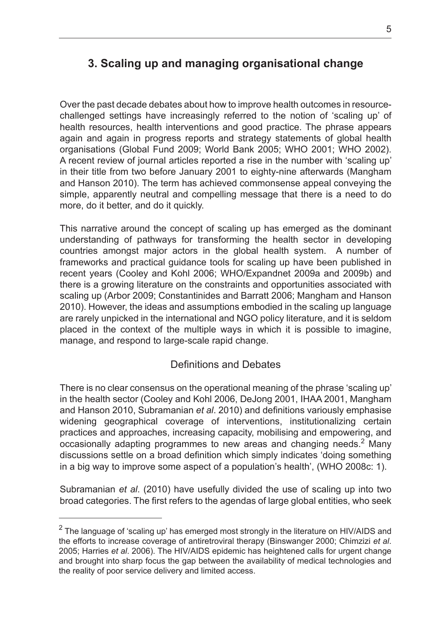#### **3. Scaling up and managing organisational change**

Over the past decade debates about how to improve health outcomes in resourcechallenged settings have increasingly referred to the notion of 'scaling up' of health resources, health interventions and good practice. The phrase appears again and again in progress reports and strategy statements of global health organisations (Global Fund 2009; World Bank 2005; WHO 2001; WHO 2002). A recent review of journal articles reported a rise in the number with 'scaling up' in their title from two before January 2001 to eighty-nine afterwards (Mangham and Hanson 2010). The term has achieved commonsense appeal conveying the simple, apparently neutral and compelling message that there is a need to do more, do it better, and do it quickly.

This narrative around the concept of scaling up has emerged as the dominant understanding of pathways for transforming the health sector in developing countries amongst major actors in the global health system. A number of frameworks and practical guidance tools for scaling up have been published in recent years (Cooley and Kohl 2006; WHO/Expandnet 2009a and 2009b) and there is a growing literature on the constraints and opportunities associated with scaling up (Arbor 2009; Constantinides and Barratt 2006; Mangham and Hanson 2010). However, the ideas and assumptions embodied in the scaling up language are rarely unpicked in the international and NGO policy literature, and it is seldom placed in the context of the multiple ways in which it is possible to imagine, manage, and respond to large-scale rapid change.

#### Definitions and Debates

There is no clear consensus on the operational meaning of the phrase 'scaling up' in the health sector (Cooley and Kohl 2006, DeJong 2001, IHAA 2001, Mangham and Hanson 2010, Subramanian *et al*. 2010) and definitions variously emphasise widening geographical coverage of interventions, institutionalizing certain practices and approaches, increasing capacity, mobilising and empowering, and occasionally adapting programmes to new areas and changing needs.<sup>2</sup> Many discussions settle on a broad definition which simply indicates 'doing something in a big way to improve some aspect of a population's health', (WHO 2008c: 1).

Subramanian *et al*. (2010) have usefully divided the use of scaling up into two broad categories. The first refers to the agendas of large global entities, who seek

 $^2$  The language of 'scaling up' has emerged most strongly in the literature on HIV/AIDS and the efforts to increase coverage of antiretroviral therapy (Binswanger 2000; Chimzizi *et al*. 2005; Harries *et al*. 2006). The HIV/AIDS epidemic has heightened calls for urgent change and brought into sharp focus the gap between the availability of medical technologies and the reality of poor service delivery and limited access.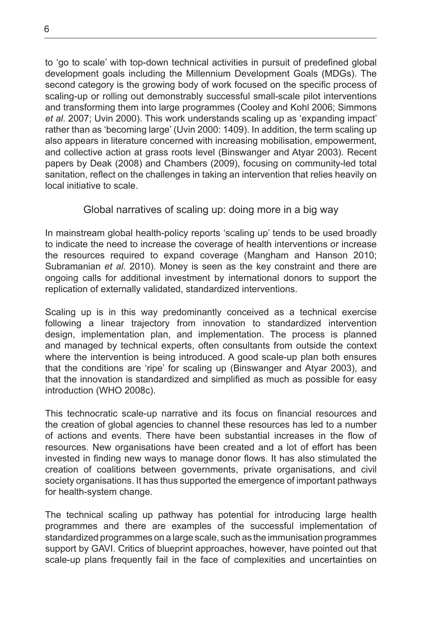to 'go to scale' with top-down technical activities in pursuit of predefined global development goals including the Millennium Development Goals (MDGs). The second category is the growing body of work focused on the specific process of scaling-up or rolling out demonstrably successful small-scale pilot interventions and transforming them into large programmes (Cooley and Kohl 2006; Simmons *et al*. 2007; Uvin 2000). This work understands scaling up as 'expanding impact' rather than as 'becoming large' (Uvin 2000: 1409). In addition, the term scaling up also appears in literature concerned with increasing mobilisation, empowerment, and collective action at grass roots level (Binswanger and Atyar 2003). Recent papers by Deak (2008) and Chambers (2009), focusing on community-led total sanitation, reflect on the challenges in taking an intervention that relies heavily on local initiative to scale.

#### Global narratives of scaling up: doing more in a big way

In mainstream global health-policy reports 'scaling up' tends to be used broadly to indicate the need to increase the coverage of health interventions or increase the resources required to expand coverage (Mangham and Hanson 2010; Subramanian *et al*. 2010). Money is seen as the key constraint and there are ongoing calls for additional investment by international donors to support the replication of externally validated, standardized interventions.

Scaling up is in this way predominantly conceived as a technical exercise following a linear trajectory from innovation to standardized intervention design, implementation plan, and implementation. The process is planned and managed by technical experts, often consultants from outside the context where the intervention is being introduced. A good scale-up plan both ensures that the conditions are 'ripe' for scaling up (Binswanger and Atyar 2003), and that the innovation is standardized and simplified as much as possible for easy introduction (WHO 2008c).

This technocratic scale-up narrative and its focus on financial resources and the creation of global agencies to channel these resources has led to a number of actions and events. There have been substantial increases in the flow of resources. New organisations have been created and a lot of effort has been invested in finding new ways to manage donor flows. It has also stimulated the creation of coalitions between governments, private organisations, and civil society organisations. It has thus supported the emergence of important pathways for health-system change.

The technical scaling up pathway has potential for introducing large health programmes and there are examples of the successful implementation of standardized programmes on a large scale, such as the immunisation programmes support by GAVI. Critics of blueprint approaches, however, have pointed out that scale-up plans frequently fail in the face of complexities and uncertainties on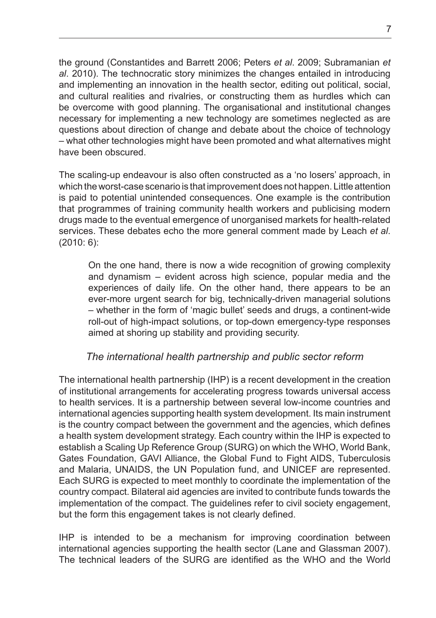the ground (Constantides and Barrett 2006; Peters *et al*. 2009; Subramanian *et al*. 2010). The technocratic story minimizes the changes entailed in introducing and implementing an innovation in the health sector, editing out political, social, and cultural realities and rivalries, or constructing them as hurdles which can be overcome with good planning. The organisational and institutional changes necessary for implementing a new technology are sometimes neglected as are questions about direction of change and debate about the choice of technology – what other technologies might have been promoted and what alternatives might have been obscured.

The scaling-up endeavour is also often constructed as a 'no losers' approach, in which the worst-case scenario is that improvement does not happen. Little attention is paid to potential unintended consequences. One example is the contribution that programmes of training community health workers and publicising modern drugs made to the eventual emergence of unorganised markets for health-related services. These debates echo the more general comment made by Leach *et al*. (2010: 6):

On the one hand, there is now a wide recognition of growing complexity and dynamism – evident across high science, popular media and the experiences of daily life. On the other hand, there appears to be an ever-more urgent search for big, technically-driven managerial solutions – whether in the form of 'magic bullet' seeds and drugs, a continent-wide roll-out of high-impact solutions, or top-down emergency-type responses aimed at shoring up stability and providing security.

#### *The international health partnership and public sector reform*

The international health partnership (IHP) is a recent development in the creation of institutional arrangements for accelerating progress towards universal access to health services. It is a partnership between several low-income countries and international agencies supporting health system development. Its main instrument is the country compact between the government and the agencies, which defines a health system development strategy. Each country within the IHP is expected to establish a Scaling Up Reference Group (SURG) on which the WHO, World Bank, Gates Foundation, GAVI Alliance, the Global Fund to Fight AIDS, Tuberculosis and Malaria, UNAIDS, the UN Population fund, and UNICEF are represented. Each SURG is expected to meet monthly to coordinate the implementation of the country compact. Bilateral aid agencies are invited to contribute funds towards the implementation of the compact. The guidelines refer to civil society engagement, but the form this engagement takes is not clearly defined.

IHP is intended to be a mechanism for improving coordination between international agencies supporting the health sector (Lane and Glassman 2007). The technical leaders of the SURG are identified as the WHO and the World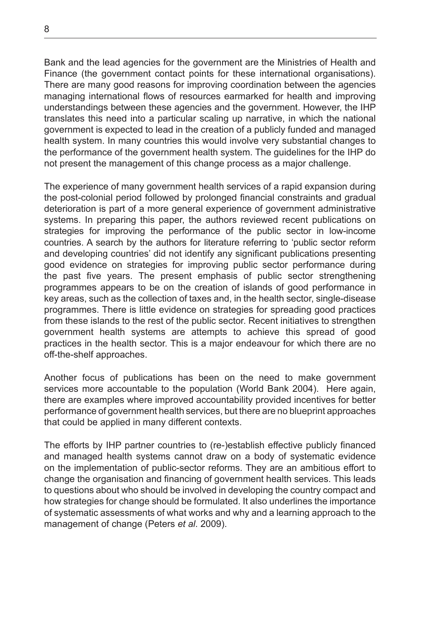Bank and the lead agencies for the government are the Ministries of Health and Finance (the government contact points for these international organisations). There are many good reasons for improving coordination between the agencies managing international flows of resources earmarked for health and improving understandings between these agencies and the government. However, the IHP translates this need into a particular scaling up narrative, in which the national government is expected to lead in the creation of a publicly funded and managed health system. In many countries this would involve very substantial changes to the performance of the government health system. The guidelines for the IHP do not present the management of this change process as a major challenge.

The experience of many government health services of a rapid expansion during the post-colonial period followed by prolonged financial constraints and gradual deterioration is part of a more general experience of government administrative systems. In preparing this paper, the authors reviewed recent publications on strategies for improving the performance of the public sector in low-income countries. A search by the authors for literature referring to 'public sector reform and developing countries' did not identify any significant publications presenting good evidence on strategies for improving public sector performance during the past five years. The present emphasis of public sector strengthening programmes appears to be on the creation of islands of good performance in key areas, such as the collection of taxes and, in the health sector, single-disease programmes. There is little evidence on strategies for spreading good practices from these islands to the rest of the public sector. Recent initiatives to strengthen government health systems are attempts to achieve this spread of good practices in the health sector. This is a major endeavour for which there are no off-the-shelf approaches.

Another focus of publications has been on the need to make government services more accountable to the population (World Bank 2004). Here again, there are examples where improved accountability provided incentives for better performance of government health services, but there are no blueprint approaches that could be applied in many different contexts.

The efforts by IHP partner countries to (re-)establish effective publicly financed and managed health systems cannot draw on a body of systematic evidence on the implementation of public-sector reforms. They are an ambitious effort to change the organisation and financing of government health services. This leads to questions about who should be involved in developing the country compact and how strategies for change should be formulated. It also underlines the importance of systematic assessments of what works and why and a learning approach to the management of change (Peters *et al*. 2009).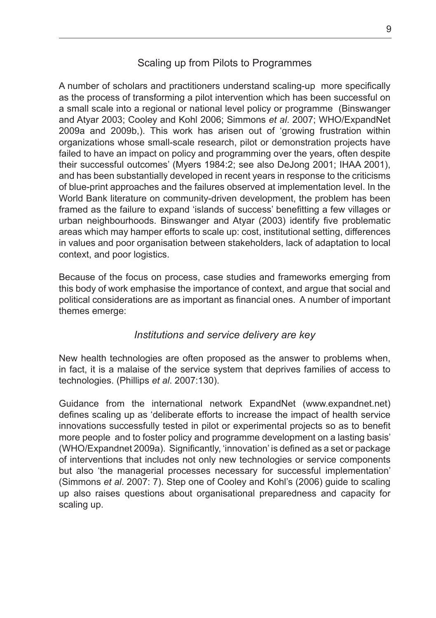#### Scaling up from Pilots to Programmes

A number of scholars and practitioners understand scaling-up more specifically as the process of transforming a pilot intervention which has been successful on a small scale into a regional or national level policy or programme (Binswanger and Atyar 2003; Cooley and Kohl 2006; Simmons *et al*. 2007; WHO/ExpandNet 2009a and 2009b,). This work has arisen out of 'growing frustration within organizations whose small-scale research, pilot or demonstration projects have failed to have an impact on policy and programming over the years, often despite their successful outcomes' (Myers 1984:2; see also DeJong 2001; IHAA 2001), and has been substantially developed in recent years in response to the criticisms of blue-print approaches and the failures observed at implementation level. In the World Bank literature on community-driven development, the problem has been framed as the failure to expand 'islands of success' benefitting a few villages or urban neighbourhoods. Binswanger and Atyar (2003) identify five problematic areas which may hamper efforts to scale up: cost, institutional setting, differences in values and poor organisation between stakeholders, lack of adaptation to local context, and poor logistics.

Because of the focus on process, case studies and frameworks emerging from this body of work emphasise the importance of context, and argue that social and political considerations are as important as financial ones. A number of important themes emerge:

#### *Institutions and service delivery are key*

New health technologies are often proposed as the answer to problems when, in fact, it is a malaise of the service system that deprives families of access to technologies. (Phillips *et al*. 2007:130).

Guidance from the international network ExpandNet (www.expandnet.net) defines scaling up as 'deliberate efforts to increase the impact of health service innovations successfully tested in pilot or experimental projects so as to benefit more people and to foster policy and programme development on a lasting basis' (WHO/Expandnet 2009a). Significantly, 'innovation' is defined as a set or package of interventions that includes not only new technologies or service components but also 'the managerial processes necessary for successful implementation' (Simmons *et al*. 2007: 7). Step one of Cooley and Kohl's (2006) guide to scaling up also raises questions about organisational preparedness and capacity for scaling up.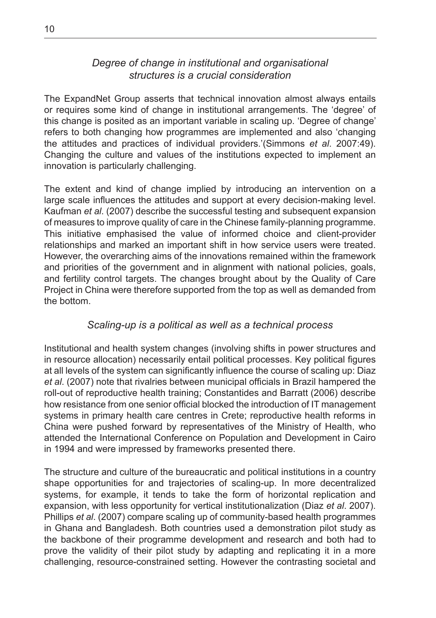#### *Degree of change in institutional and organisational structures is a crucial consideration*

The ExpandNet Group asserts that technical innovation almost always entails or requires some kind of change in institutional arrangements. The 'degree' of this change is posited as an important variable in scaling up. 'Degree of change' refers to both changing how programmes are implemented and also 'changing the attitudes and practices of individual providers.'(Simmons *et al*. 2007:49). Changing the culture and values of the institutions expected to implement an innovation is particularly challenging.

The extent and kind of change implied by introducing an intervention on a large scale influences the attitudes and support at every decision-making level. Kaufman *et al*. (2007) describe the successful testing and subsequent expansion of measures to improve quality of care in the Chinese family-planning programme. This initiative emphasised the value of informed choice and client-provider relationships and marked an important shift in how service users were treated. However, the overarching aims of the innovations remained within the framework and priorities of the government and in alignment with national policies, goals, and fertility control targets. The changes brought about by the Quality of Care Project in China were therefore supported from the top as well as demanded from the bottom.

#### *Scaling-up is a political as well as a technical process*

Institutional and health system changes (involving shifts in power structures and in resource allocation) necessarily entail political processes. Key political figures at all levels of the system can significantly influence the course of scaling up: Diaz *et al*. (2007) note that rivalries between municipal officials in Brazil hampered the roll-out of reproductive health training; Constantides and Barratt (2006) describe how resistance from one senior official blocked the introduction of IT management systems in primary health care centres in Crete; reproductive health reforms in China were pushed forward by representatives of the Ministry of Health, who attended the International Conference on Population and Development in Cairo in 1994 and were impressed by frameworks presented there.

The structure and culture of the bureaucratic and political institutions in a country shape opportunities for and trajectories of scaling-up. In more decentralized systems, for example, it tends to take the form of horizontal replication and expansion, with less opportunity for vertical institutionalization (Diaz *et al*. 2007). Phillips *et al*. (2007) compare scaling up of community-based health programmes in Ghana and Bangladesh. Both countries used a demonstration pilot study as the backbone of their programme development and research and both had to prove the validity of their pilot study by adapting and replicating it in a more challenging, resource-constrained setting. However the contrasting societal and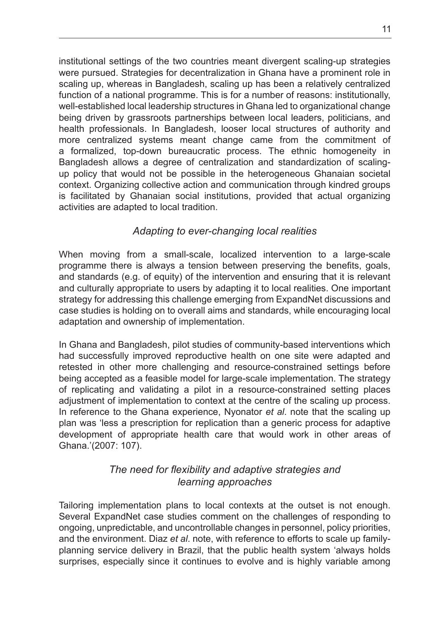institutional settings of the two countries meant divergent scaling-up strategies were pursued. Strategies for decentralization in Ghana have a prominent role in scaling up, whereas in Bangladesh, scaling up has been a relatively centralized function of a national programme. This is for a number of reasons: institutionally, well-established local leadership structures in Ghana led to organizational change being driven by grassroots partnerships between local leaders, politicians, and health professionals. In Bangladesh, looser local structures of authority and more centralized systems meant change came from the commitment of a formalized, top-down bureaucratic process. The ethnic homogeneity in Bangladesh allows a degree of centralization and standardization of scalingup policy that would not be possible in the heterogeneous Ghanaian societal context. Organizing collective action and communication through kindred groups is facilitated by Ghanaian social institutions, provided that actual organizing activities are adapted to local tradition.

#### *Adapting to ever-changing local realities*

When moving from a small-scale, localized intervention to a large-scale programme there is always a tension between preserving the benefits, goals, and standards (e.g. of equity) of the intervention and ensuring that it is relevant and culturally appropriate to users by adapting it to local realities. One important strategy for addressing this challenge emerging from ExpandNet discussions and case studies is holding on to overall aims and standards, while encouraging local adaptation and ownership of implementation.

In Ghana and Bangladesh, pilot studies of community-based interventions which had successfully improved reproductive health on one site were adapted and retested in other more challenging and resource-constrained settings before being accepted as a feasible model for large-scale implementation. The strategy of replicating and validating a pilot in a resource-constrained setting places adjustment of implementation to context at the centre of the scaling up process. In reference to the Ghana experience, Nyonator *et al*. note that the scaling up plan was 'less a prescription for replication than a generic process for adaptive development of appropriate health care that would work in other areas of Ghana.'(2007: 107).

#### *The need for flexibility and adaptive strategies and learning approaches*

Tailoring implementation plans to local contexts at the outset is not enough. Several ExpandNet case studies comment on the challenges of responding to ongoing, unpredictable, and uncontrollable changes in personnel, policy priorities, and the environment. Diaz *et al*. note, with reference to efforts to scale up familyplanning service delivery in Brazil, that the public health system 'always holds surprises, especially since it continues to evolve and is highly variable among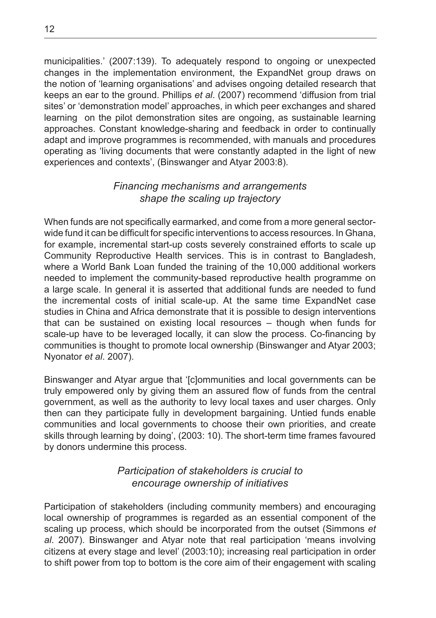municipalities.' (2007:139). To adequately respond to ongoing or unexpected changes in the implementation environment, the ExpandNet group draws on the notion of 'learning organisations' and advises ongoing detailed research that keeps an ear to the ground. Phillips *et al*. (2007) recommend 'diffusion from trial sites' or 'demonstration model' approaches, in which peer exchanges and shared learning on the pilot demonstration sites are ongoing, as sustainable learning approaches. Constant knowledge-sharing and feedback in order to continually adapt and improve programmes is recommended, with manuals and procedures operating as 'living documents that were constantly adapted in the light of new experiences and contexts', (Binswanger and Atyar 2003:8).

#### *Financing mechanisms and arrangements shape the scaling up trajectory*

When funds are not specifically earmarked, and come from a more general sectorwide fund it can be difficult for specific interventions to access resources. In Ghana, for example, incremental start-up costs severely constrained efforts to scale up Community Reproductive Health services. This is in contrast to Bangladesh, where a World Bank Loan funded the training of the 10,000 additional workers needed to implement the community-based reproductive health programme on a large scale. In general it is asserted that additional funds are needed to fund the incremental costs of initial scale-up. At the same time ExpandNet case studies in China and Africa demonstrate that it is possible to design interventions that can be sustained on existing local resources – though when funds for scale-up have to be leveraged locally, it can slow the process. Co-financing by communities is thought to promote local ownership (Binswanger and Atyar 2003; Nyonator *et al*. 2007).

Binswanger and Atyar argue that '[c]ommunities and local governments can be truly empowered only by giving them an assured flow of funds from the central government, as well as the authority to levy local taxes and user charges. Only then can they participate fully in development bargaining. Untied funds enable communities and local governments to choose their own priorities, and create skills through learning by doing', (2003: 10). The short-term time frames favoured by donors undermine this process.

#### *Participation of stakeholders is crucial to encourage ownership of initiatives*

Participation of stakeholders (including community members) and encouraging local ownership of programmes is regarded as an essential component of the scaling up process, which should be incorporated from the outset (Simmons *et al*. 2007). Binswanger and Atyar note that real participation 'means involving citizens at every stage and level' (2003:10); increasing real participation in order to shift power from top to bottom is the core aim of their engagement with scaling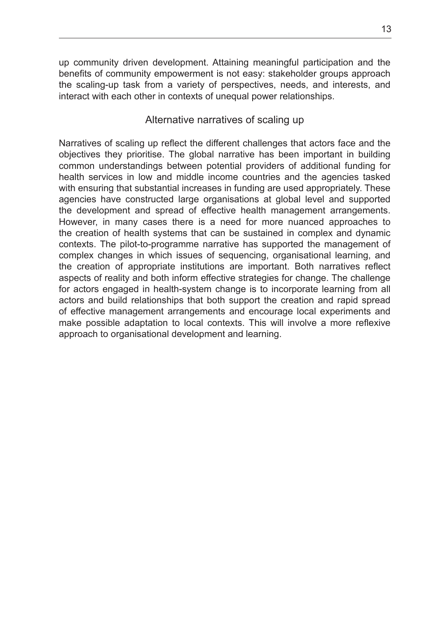up community driven development. Attaining meaningful participation and the benefits of community empowerment is not easy: stakeholder groups approach the scaling-up task from a variety of perspectives, needs, and interests, and interact with each other in contexts of unequal power relationships.

#### Alternative narratives of scaling up

Narratives of scaling up reflect the different challenges that actors face and the objectives they prioritise. The global narrative has been important in building common understandings between potential providers of additional funding for health services in low and middle income countries and the agencies tasked with ensuring that substantial increases in funding are used appropriately. These agencies have constructed large organisations at global level and supported the development and spread of effective health management arrangements. However, in many cases there is a need for more nuanced approaches to the creation of health systems that can be sustained in complex and dynamic contexts. The pilot-to-programme narrative has supported the management of complex changes in which issues of sequencing, organisational learning, and the creation of appropriate institutions are important. Both narratives reflect aspects of reality and both inform effective strategies for change. The challenge for actors engaged in health-system change is to incorporate learning from all actors and build relationships that both support the creation and rapid spread of effective management arrangements and encourage local experiments and make possible adaptation to local contexts. This will involve a more reflexive approach to organisational development and learning.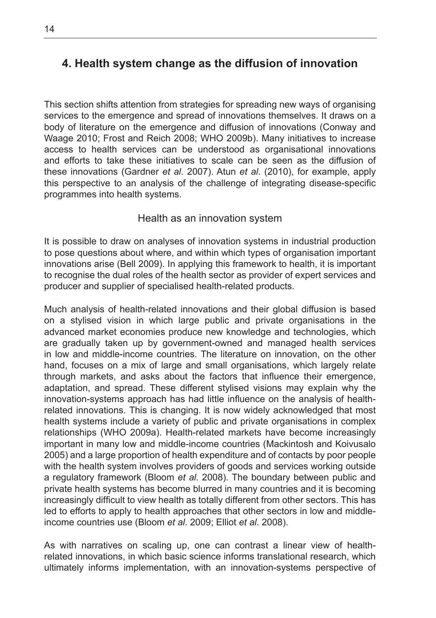#### **4. Health system change as the diffusion of innovation**

This section shifts attention from strategies for spreading new ways of organising services to the emergence and spread of innovations themselves. It draws on a body of literature on the emergence and diffusion of innovations (Conway and Waage 2010; Frost and Reich 2008; WHO 2009b). Many initiatives to increase access to health services can be understood as organisational innovations and efforts to take these initiatives to scale can be seen as the diffusion of these innovations (Gardner *et al*. 2007). Atun *et al*. (2010), for example, apply this perspective to an analysis of the challenge of integrating disease-specific programmes into health systems.

#### Health as an innovation system

It is possible to draw on analyses of innovation systems in industrial production to pose questions about where, and within which types of organisation important innovations arise (Bell 2009). In applying this framework to health, it is important to recognise the dual roles of the health sector as provider of expert services and producer and supplier of specialised health-related products.

Much analysis of health-related innovations and their global diffusion is based on a stylised vision in which large public and private organisations in the advanced market economies produce new knowledge and technologies, which are gradually taken up by government-owned and managed health services in low and middle-income countries. The literature on innovation, on the other hand, focuses on a mix of large and small organisations, which largely relate through markets, and asks about the factors that influence their emergence, adaptation, and spread. These different stylised visions may explain why the innovation-systems approach has had little influence on the analysis of healthrelated innovations. This is changing. It is now widely acknowledged that most health systems include a variety of public and private organisations in complex relationships (WHO 2009a). Health-related markets have become increasingly important in many low and middle-income countries (Mackintosh and Koivusalo 2005) and a large proportion of health expenditure and of contacts by poor people with the health system involves providers of goods and services working outside a regulatory framework (Bloom *et al*. 2008). The boundary between public and private health systems has become blurred in many countries and it is becoming increasingly difficult to view health as totally different from other sectors. This has led to efforts to apply to health approaches that other sectors in low and middleincome countries use (Bloom *et al*. 2009; Elliot *et al*. 2008).

As with narratives on scaling up, one can contrast a linear view of healthrelated innovations, in which basic science informs translational research, which ultimately informs implementation, with an innovation-systems perspective of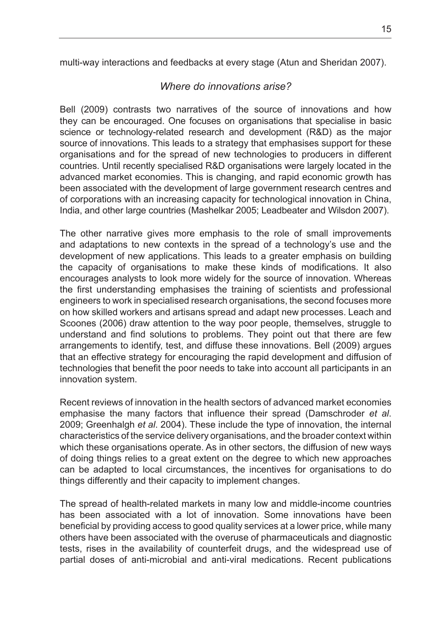multi-way interactions and feedbacks at every stage (Atun and Sheridan 2007).

#### *Where do innovations arise?*

Bell (2009) contrasts two narratives of the source of innovations and how they can be encouraged. One focuses on organisations that specialise in basic science or technology-related research and development (R&D) as the major source of innovations. This leads to a strategy that emphasises support for these organisations and for the spread of new technologies to producers in different countries. Until recently specialised R&D organisations were largely located in the advanced market economies. This is changing, and rapid economic growth has been associated with the development of large government research centres and of corporations with an increasing capacity for technological innovation in China, India, and other large countries (Mashelkar 2005; Leadbeater and Wilsdon 2007).

The other narrative gives more emphasis to the role of small improvements and adaptations to new contexts in the spread of a technology's use and the development of new applications. This leads to a greater emphasis on building the capacity of organisations to make these kinds of modifications. It also encourages analysts to look more widely for the source of innovation. Whereas the first understanding emphasises the training of scientists and professional engineers to work in specialised research organisations, the second focuses more on how skilled workers and artisans spread and adapt new processes. Leach and Scoones (2006) draw attention to the way poor people, themselves, struggle to understand and find solutions to problems. They point out that there are few arrangements to identify, test, and diffuse these innovations. Bell (2009) argues that an effective strategy for encouraging the rapid development and diffusion of technologies that benefit the poor needs to take into account all participants in an innovation system.

Recent reviews of innovation in the health sectors of advanced market economies emphasise the many factors that influence their spread (Damschroder *et al*. 2009; Greenhalgh *et al*. 2004). These include the type of innovation, the internal characteristics of the service delivery organisations, and the broader context within which these organisations operate. As in other sectors, the diffusion of new ways of doing things relies to a great extent on the degree to which new approaches can be adapted to local circumstances, the incentives for organisations to do things differently and their capacity to implement changes.

The spread of health-related markets in many low and middle-income countries has been associated with a lot of innovation. Some innovations have been beneficial by providing access to good quality services at a lower price, while many others have been associated with the overuse of pharmaceuticals and diagnostic tests, rises in the availability of counterfeit drugs, and the widespread use of partial doses of anti-microbial and anti-viral medications. Recent publications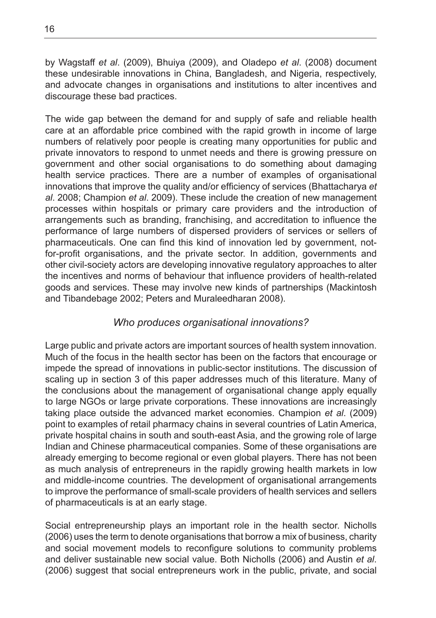by Wagstaff *et al*. (2009), Bhuiya (2009), and Oladepo *et al*. (2008) document these undesirable innovations in China, Bangladesh, and Nigeria, respectively, and advocate changes in organisations and institutions to alter incentives and discourage these bad practices.

The wide gap between the demand for and supply of safe and reliable health care at an affordable price combined with the rapid growth in income of large numbers of relatively poor people is creating many opportunities for public and private innovators to respond to unmet needs and there is growing pressure on government and other social organisations to do something about damaging health service practices. There are a number of examples of organisational innovations that improve the quality and/or efficiency of services (Bhattacharya *et al*. 2008; Champion *et al*. 2009). These include the creation of new management processes within hospitals or primary care providers and the introduction of arrangements such as branding, franchising, and accreditation to influence the performance of large numbers of dispersed providers of services or sellers of pharmaceuticals. One can find this kind of innovation led by government, notfor-profit organisations, and the private sector. In addition, governments and other civil-society actors are developing innovative regulatory approaches to alter the incentives and norms of behaviour that influence providers of health-related goods and services. These may involve new kinds of partnerships (Mackintosh and Tibandebage 2002; Peters and Muraleedharan 2008).

#### *Who produces organisational innovations?*

Large public and private actors are important sources of health system innovation. Much of the focus in the health sector has been on the factors that encourage or impede the spread of innovations in public-sector institutions. The discussion of scaling up in section 3 of this paper addresses much of this literature. Many of the conclusions about the management of organisational change apply equally to large NGOs or large private corporations. These innovations are increasingly taking place outside the advanced market economies. Champion *et al*. (2009) point to examples of retail pharmacy chains in several countries of Latin America, private hospital chains in south and south-east Asia, and the growing role of large Indian and Chinese pharmaceutical companies. Some of these organisations are already emerging to become regional or even global players. There has not been as much analysis of entrepreneurs in the rapidly growing health markets in low and middle-income countries. The development of organisational arrangements to improve the performance of small-scale providers of health services and sellers of pharmaceuticals is at an early stage.

Social entrepreneurship plays an important role in the health sector. Nicholls (2006) uses the term to denote organisations that borrow a mix of business, charity and social movement models to reconfigure solutions to community problems and deliver sustainable new social value. Both Nicholls (2006) and Austin *et al*. (2006) suggest that social entrepreneurs work in the public, private, and social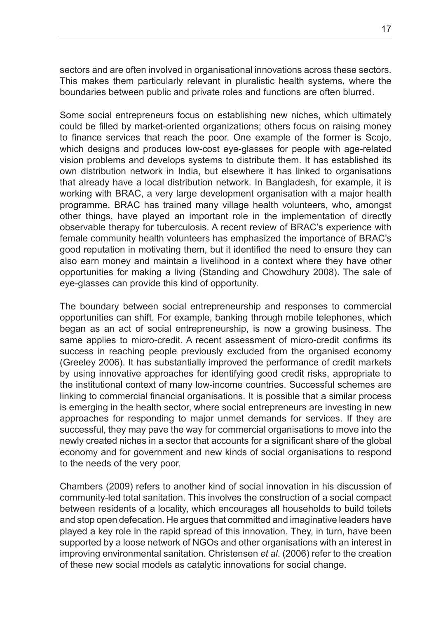sectors and are often involved in organisational innovations across these sectors. This makes them particularly relevant in pluralistic health systems, where the boundaries between public and private roles and functions are often blurred.

Some social entrepreneurs focus on establishing new niches, which ultimately could be filled by market-oriented organizations; others focus on raising money to finance services that reach the poor. One example of the former is Scojo, which designs and produces low-cost eye-glasses for people with age-related vision problems and develops systems to distribute them. It has established its own distribution network in India, but elsewhere it has linked to organisations that already have a local distribution network. In Bangladesh, for example, it is working with BRAC, a very large development organisation with a major health programme. BRAC has trained many village health volunteers, who, amongst other things, have played an important role in the implementation of directly observable therapy for tuberculosis. A recent review of BRAC's experience with female community health volunteers has emphasized the importance of BRAC's good reputation in motivating them, but it identified the need to ensure they can also earn money and maintain a livelihood in a context where they have other opportunities for making a living (Standing and Chowdhury 2008). The sale of eye-glasses can provide this kind of opportunity.

The boundary between social entrepreneurship and responses to commercial opportunities can shift. For example, banking through mobile telephones, which began as an act of social entrepreneurship, is now a growing business. The same applies to micro-credit. A recent assessment of micro-credit confirms its success in reaching people previously excluded from the organised economy (Greeley 2006). It has substantially improved the performance of credit markets by using innovative approaches for identifying good credit risks, appropriate to the institutional context of many low-income countries. Successful schemes are linking to commercial financial organisations. It is possible that a similar process is emerging in the health sector, where social entrepreneurs are investing in new approaches for responding to major unmet demands for services. If they are successful, they may pave the way for commercial organisations to move into the newly created niches in a sector that accounts for a significant share of the global economy and for government and new kinds of social organisations to respond to the needs of the very poor.

Chambers (2009) refers to another kind of social innovation in his discussion of community-led total sanitation. This involves the construction of a social compact between residents of a locality, which encourages all households to build toilets and stop open defecation. He argues that committed and imaginative leaders have played a key role in the rapid spread of this innovation. They, in turn, have been supported by a loose network of NGOs and other organisations with an interest in improving environmental sanitation. Christensen *et al*. (2006) refer to the creation of these new social models as catalytic innovations for social change.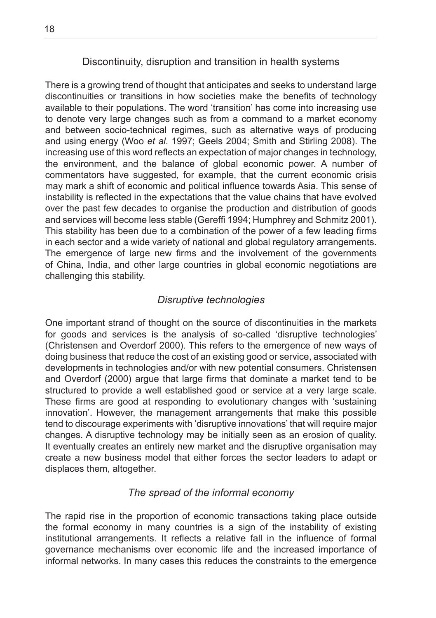#### Discontinuity, disruption and transition in health systems

There is a growing trend of thought that anticipates and seeks to understand large discontinuities or transitions in how societies make the benefits of technology available to their populations. The word 'transition' has come into increasing use to denote very large changes such as from a command to a market economy and between socio-technical regimes, such as alternative ways of producing and using energy (Woo *et al*. 1997; Geels 2004; Smith and Stirling 2008). The increasing use of this word reflects an expectation of major changes in technology, the environment, and the balance of global economic power. A number of commentators have suggested, for example, that the current economic crisis may mark a shift of economic and political influence towards Asia. This sense of instability is reflected in the expectations that the value chains that have evolved over the past few decades to organise the production and distribution of goods and services will become less stable (Gereffi 1994; Humphrey and Schmitz 2001). This stability has been due to a combination of the power of a few leading firms in each sector and a wide variety of national and global regulatory arrangements. The emergence of large new firms and the involvement of the governments of China, India, and other large countries in global economic negotiations are challenging this stability.

#### *Disruptive technologies*

One important strand of thought on the source of discontinuities in the markets for goods and services is the analysis of so-called 'disruptive technologies' (Christensen and Overdorf 2000). This refers to the emergence of new ways of doing business that reduce the cost of an existing good or service, associated with developments in technologies and/or with new potential consumers. Christensen and Overdorf (2000) argue that large firms that dominate a market tend to be structured to provide a well established good or service at a very large scale. These firms are good at responding to evolutionary changes with 'sustaining innovation'. However, the management arrangements that make this possible tend to discourage experiments with 'disruptive innovations' that will require major changes. A disruptive technology may be initially seen as an erosion of quality. It eventually creates an entirely new market and the disruptive organisation may create a new business model that either forces the sector leaders to adapt or displaces them, altogether.

#### *The spread of the informal economy*

The rapid rise in the proportion of economic transactions taking place outside the formal economy in many countries is a sign of the instability of existing institutional arrangements. It reflects a relative fall in the influence of formal governance mechanisms over economic life and the increased importance of informal networks. In many cases this reduces the constraints to the emergence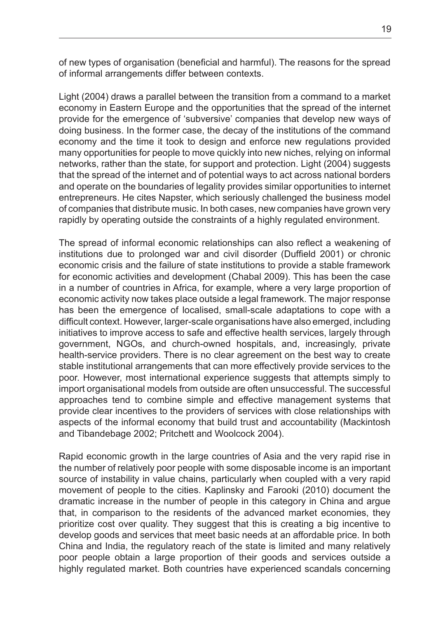of new types of organisation (beneficial and harmful). The reasons for the spread of informal arrangements differ between contexts.

Light (2004) draws a parallel between the transition from a command to a market economy in Eastern Europe and the opportunities that the spread of the internet provide for the emergence of 'subversive' companies that develop new ways of doing business. In the former case, the decay of the institutions of the command economy and the time it took to design and enforce new regulations provided many opportunities for people to move quickly into new niches, relying on informal networks, rather than the state, for support and protection. Light (2004) suggests that the spread of the internet and of potential ways to act across national borders and operate on the boundaries of legality provides similar opportunities to internet entrepreneurs. He cites Napster, which seriously challenged the business model of companies that distribute music. In both cases, new companies have grown very rapidly by operating outside the constraints of a highly regulated environment.

The spread of informal economic relationships can also reflect a weakening of institutions due to prolonged war and civil disorder (Duffield 2001) or chronic economic crisis and the failure of state institutions to provide a stable framework for economic activities and development (Chabal 2009). This has been the case in a number of countries in Africa, for example, where a very large proportion of economic activity now takes place outside a legal framework. The major response has been the emergence of localised, small-scale adaptations to cope with a difficult context. However, larger-scale organisations have also emerged, including initiatives to improve access to safe and effective health services, largely through government, NGOs, and church-owned hospitals, and, increasingly, private health-service providers. There is no clear agreement on the best way to create stable institutional arrangements that can more effectively provide services to the poor. However, most international experience suggests that attempts simply to import organisational models from outside are often unsuccessful. The successful approaches tend to combine simple and effective management systems that provide clear incentives to the providers of services with close relationships with aspects of the informal economy that build trust and accountability (Mackintosh and Tibandebage 2002; Pritchett and Woolcock 2004).

Rapid economic growth in the large countries of Asia and the very rapid rise in the number of relatively poor people with some disposable income is an important source of instability in value chains, particularly when coupled with a very rapid movement of people to the cities. Kaplinsky and Farooki (2010) document the dramatic increase in the number of people in this category in China and argue that, in comparison to the residents of the advanced market economies, they prioritize cost over quality. They suggest that this is creating a big incentive to develop goods and services that meet basic needs at an affordable price. In both China and India, the regulatory reach of the state is limited and many relatively poor people obtain a large proportion of their goods and services outside a highly regulated market. Both countries have experienced scandals concerning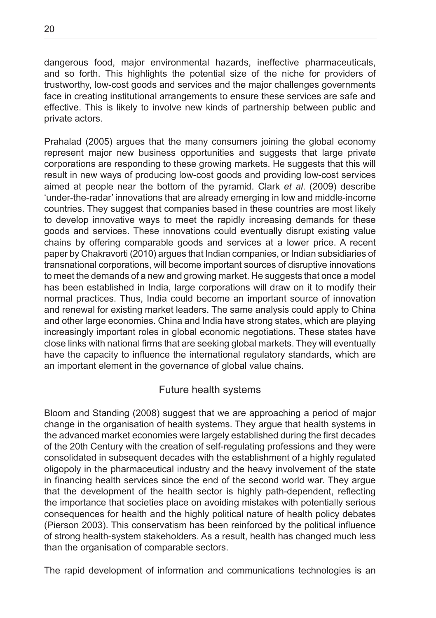dangerous food, major environmental hazards, ineffective pharmaceuticals, and so forth. This highlights the potential size of the niche for providers of trustworthy, low-cost goods and services and the major challenges governments face in creating institutional arrangements to ensure these services are safe and effective. This is likely to involve new kinds of partnership between public and private actors.

Prahalad (2005) argues that the many consumers joining the global economy represent major new business opportunities and suggests that large private corporations are responding to these growing markets. He suggests that this will result in new ways of producing low-cost goods and providing low-cost services aimed at people near the bottom of the pyramid. Clark *et al*. (2009) describe 'under-the-radar' innovations that are already emerging in low and middle-income countries. They suggest that companies based in these countries are most likely to develop innovative ways to meet the rapidly increasing demands for these goods and services. These innovations could eventually disrupt existing value chains by offering comparable goods and services at a lower price. A recent paper by Chakravorti (2010) argues that Indian companies, or Indian subsidiaries of transnational corporations, will become important sources of disruptive innovations to meet the demands of a new and growing market. He suggests that once a model has been established in India, large corporations will draw on it to modify their normal practices. Thus, India could become an important source of innovation and renewal for existing market leaders. The same analysis could apply to China and other large economies. China and India have strong states, which are playing increasingly important roles in global economic negotiations. These states have close links with national firms that are seeking global markets. They will eventually have the capacity to influence the international regulatory standards, which are an important element in the governance of global value chains.

#### Future health systems

Bloom and Standing (2008) suggest that we are approaching a period of major change in the organisation of health systems. They argue that health systems in the advanced market economies were largely established during the first decades of the 20th Century with the creation of self-regulating professions and they were consolidated in subsequent decades with the establishment of a highly regulated oligopoly in the pharmaceutical industry and the heavy involvement of the state in financing health services since the end of the second world war. They argue that the development of the health sector is highly path-dependent, reflecting the importance that societies place on avoiding mistakes with potentially serious consequences for health and the highly political nature of health policy debates (Pierson 2003). This conservatism has been reinforced by the political influence of strong health-system stakeholders. As a result, health has changed much less than the organisation of comparable sectors.

The rapid development of information and communications technologies is an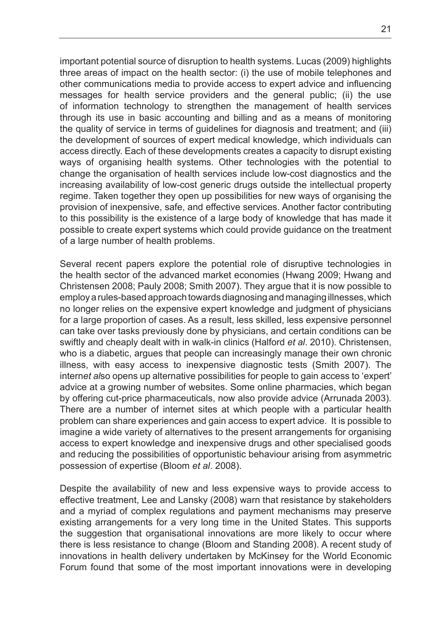important potential source of disruption to health systems. Lucas (2009) highlights three areas of impact on the health sector: (i) the use of mobile telephones and other communications media to provide access to expert advice and influencing messages for health service providers and the general public; (ii) the use of information technology to strengthen the management of health services through its use in basic accounting and billing and as a means of monitoring the quality of service in terms of guidelines for diagnosis and treatment; and (iii) the development of sources of expert medical knowledge, which individuals can access directly. Each of these developments creates a capacity to disrupt existing ways of organising health systems. Other technologies with the potential to change the organisation of health services include low-cost diagnostics and the increasing availability of low-cost generic drugs outside the intellectual property regime. Taken together they open up possibilities for new ways of organising the provision of inexpensive, safe, and effective services. Another factor contributing to this possibility is the existence of a large body of knowledge that has made it possible to create expert systems which could provide guidance on the treatment of a large number of health problems.

Several recent papers explore the potential role of disruptive technologies in the health sector of the advanced market economies (Hwang 2009; Hwang and Christensen 2008; Pauly 2008; Smith 2007). They argue that it is now possible to employ a rules-based approach towards diagnosing and managing illnesses, which no longer relies on the expensive expert knowledge and judgment of physicians for a large proportion of cases. As a result, less skilled, less expensive personnel can take over tasks previously done by physicians, and certain conditions can be swiftly and cheaply dealt with in walk-in clinics (Halford *et al*. 2010). Christensen, who is a diabetic, argues that people can increasingly manage their own chronic illness, with easy access to inexpensive diagnostic tests (Smith 2007). The intern*et al*so opens up alternative possibilities for people to gain access to 'expert' advice at a growing number of websites. Some online pharmacies, which began by offering cut-price pharmaceuticals, now also provide advice (Arrunada 2003). There are a number of internet sites at which people with a particular health problem can share experiences and gain access to expert advice. It is possible to imagine a wide variety of alternatives to the present arrangements for organising access to expert knowledge and inexpensive drugs and other specialised goods and reducing the possibilities of opportunistic behaviour arising from asymmetric possession of expertise (Bloom *et al*. 2008).

Despite the availability of new and less expensive ways to provide access to effective treatment, Lee and Lansky (2008) warn that resistance by stakeholders and a myriad of complex regulations and payment mechanisms may preserve existing arrangements for a very long time in the United States. This supports the suggestion that organisational innovations are more likely to occur where there is less resistance to change (Bloom and Standing 2008). A recent study of innovations in health delivery undertaken by McKinsey for the World Economic Forum found that some of the most important innovations were in developing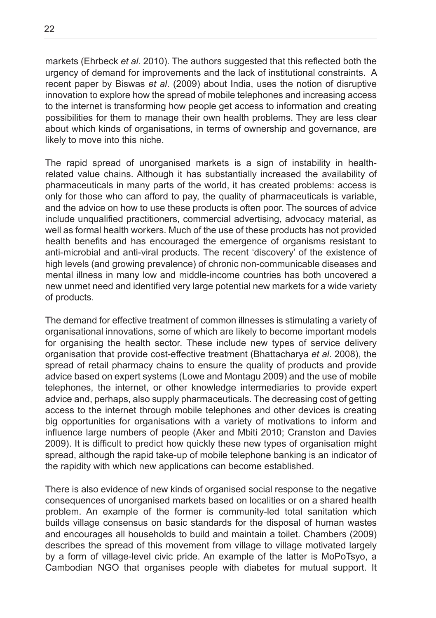markets (Ehrbeck *et al*. 2010). The authors suggested that this reflected both the urgency of demand for improvements and the lack of institutional constraints. A recent paper by Biswas *et al*. (2009) about India, uses the notion of disruptive innovation to explore how the spread of mobile telephones and increasing access to the internet is transforming how people get access to information and creating possibilities for them to manage their own health problems. They are less clear about which kinds of organisations, in terms of ownership and governance, are likely to move into this niche.

The rapid spread of unorganised markets is a sign of instability in healthrelated value chains. Although it has substantially increased the availability of pharmaceuticals in many parts of the world, it has created problems: access is only for those who can afford to pay, the quality of pharmaceuticals is variable, and the advice on how to use these products is often poor. The sources of advice include unqualified practitioners, commercial advertising, advocacy material, as well as formal health workers. Much of the use of these products has not provided health benefits and has encouraged the emergence of organisms resistant to anti-microbial and anti-viral products. The recent 'discovery' of the existence of high levels (and growing prevalence) of chronic non-communicable diseases and mental illness in many low and middle-income countries has both uncovered a new unmet need and identified very large potential new markets for a wide variety of products.

The demand for effective treatment of common illnesses is stimulating a variety of organisational innovations, some of which are likely to become important models for organising the health sector. These include new types of service delivery organisation that provide cost-effective treatment (Bhattacharya *et al*. 2008), the spread of retail pharmacy chains to ensure the quality of products and provide advice based on expert systems (Lowe and Montagu 2009) and the use of mobile telephones, the internet, or other knowledge intermediaries to provide expert advice and, perhaps, also supply pharmaceuticals. The decreasing cost of getting access to the internet through mobile telephones and other devices is creating big opportunities for organisations with a variety of motivations to inform and influence large numbers of people (Aker and Mbiti 2010; Cranston and Davies 2009). It is difficult to predict how quickly these new types of organisation might spread, although the rapid take-up of mobile telephone banking is an indicator of the rapidity with which new applications can become established.

There is also evidence of new kinds of organised social response to the negative consequences of unorganised markets based on localities or on a shared health problem. An example of the former is community-led total sanitation which builds village consensus on basic standards for the disposal of human wastes and encourages all households to build and maintain a toilet. Chambers (2009) describes the spread of this movement from village to village motivated largely by a form of village-level civic pride. An example of the latter is MoPoTsyo, a Cambodian NGO that organises people with diabetes for mutual support. It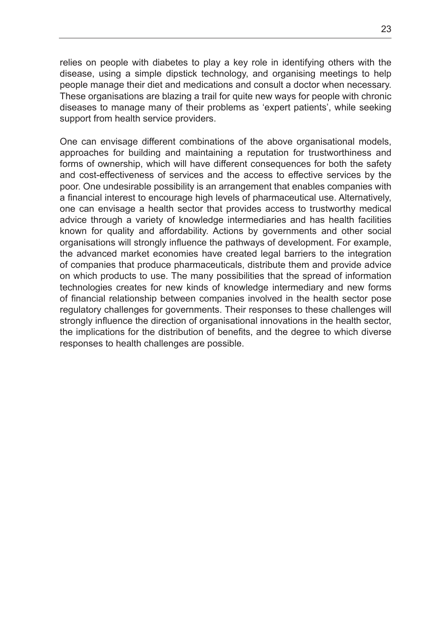relies on people with diabetes to play a key role in identifying others with the disease, using a simple dipstick technology, and organising meetings to help people manage their diet and medications and consult a doctor when necessary. These organisations are blazing a trail for quite new ways for people with chronic diseases to manage many of their problems as 'expert patients', while seeking support from health service providers.

One can envisage different combinations of the above organisational models, approaches for building and maintaining a reputation for trustworthiness and forms of ownership, which will have different consequences for both the safety and cost-effectiveness of services and the access to effective services by the poor. One undesirable possibility is an arrangement that enables companies with a financial interest to encourage high levels of pharmaceutical use. Alternatively, one can envisage a health sector that provides access to trustworthy medical advice through a variety of knowledge intermediaries and has health facilities known for quality and affordability. Actions by governments and other social organisations will strongly influence the pathways of development. For example, the advanced market economies have created legal barriers to the integration of companies that produce pharmaceuticals, distribute them and provide advice on which products to use. The many possibilities that the spread of information technologies creates for new kinds of knowledge intermediary and new forms of financial relationship between companies involved in the health sector pose regulatory challenges for governments. Their responses to these challenges will strongly influence the direction of organisational innovations in the health sector, the implications for the distribution of benefits, and the degree to which diverse responses to health challenges are possible.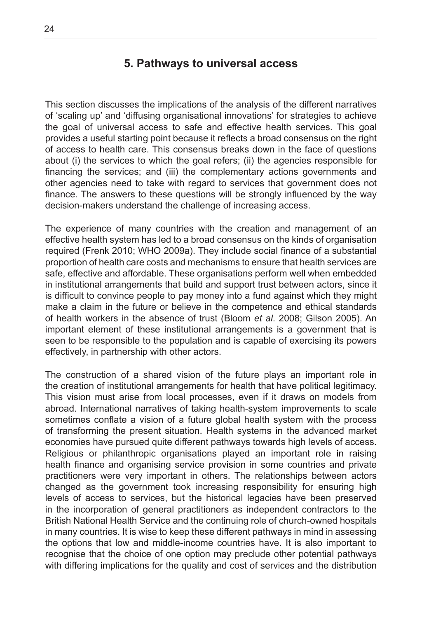#### **5. Pathways to universal access**

This section discusses the implications of the analysis of the different narratives of 'scaling up' and 'diffusing organisational innovations' for strategies to achieve the goal of universal access to safe and effective health services. This goal provides a useful starting point because it reflects a broad consensus on the right of access to health care. This consensus breaks down in the face of questions about (i) the services to which the goal refers; (ii) the agencies responsible for financing the services; and (iii) the complementary actions governments and other agencies need to take with regard to services that government does not finance. The answers to these questions will be strongly influenced by the way decision-makers understand the challenge of increasing access.

The experience of many countries with the creation and management of an effective health system has led to a broad consensus on the kinds of organisation required (Frenk 2010; WHO 2009a). They include social finance of a substantial proportion of health care costs and mechanisms to ensure that health services are safe, effective and affordable. These organisations perform well when embedded in institutional arrangements that build and support trust between actors, since it is difficult to convince people to pay money into a fund against which they might make a claim in the future or believe in the competence and ethical standards of health workers in the absence of trust (Bloom *et al*. 2008; Gilson 2005). An important element of these institutional arrangements is a government that is seen to be responsible to the population and is capable of exercising its powers effectively, in partnership with other actors.

The construction of a shared vision of the future plays an important role in the creation of institutional arrangements for health that have political legitimacy. This vision must arise from local processes, even if it draws on models from abroad. International narratives of taking health-system improvements to scale sometimes conflate a vision of a future global health system with the process of transforming the present situation. Health systems in the advanced market economies have pursued quite different pathways towards high levels of access. Religious or philanthropic organisations played an important role in raising health finance and organising service provision in some countries and private practitioners were very important in others. The relationships between actors changed as the government took increasing responsibility for ensuring high levels of access to services, but the historical legacies have been preserved in the incorporation of general practitioners as independent contractors to the British National Health Service and the continuing role of church-owned hospitals in many countries. It is wise to keep these different pathways in mind in assessing the options that low and middle-income countries have. It is also important to recognise that the choice of one option may preclude other potential pathways with differing implications for the quality and cost of services and the distribution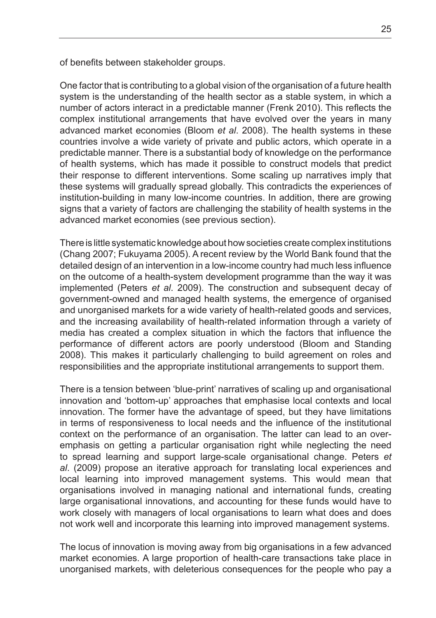of benefits between stakeholder groups.

One factor that is contributing to a global vision of the organisation of a future health system is the understanding of the health sector as a stable system, in which a number of actors interact in a predictable manner (Frenk 2010). This reflects the complex institutional arrangements that have evolved over the years in many advanced market economies (Bloom *et al*. 2008). The health systems in these countries involve a wide variety of private and public actors, which operate in a predictable manner. There is a substantial body of knowledge on the performance of health systems, which has made it possible to construct models that predict their response to different interventions. Some scaling up narratives imply that these systems will gradually spread globally. This contradicts the experiences of institution-building in many low-income countries. In addition, there are growing signs that a variety of factors are challenging the stability of health systems in the advanced market economies (see previous section).

There is little systematic knowledge about how societies create complex institutions (Chang 2007; Fukuyama 2005). A recent review by the World Bank found that the detailed design of an intervention in a low-income country had much less influence on the outcome of a health-system development programme than the way it was implemented (Peters *et al*. 2009). The construction and subsequent decay of government-owned and managed health systems, the emergence of organised and unorganised markets for a wide variety of health-related goods and services, and the increasing availability of health-related information through a variety of media has created a complex situation in which the factors that influence the performance of different actors are poorly understood (Bloom and Standing 2008). This makes it particularly challenging to build agreement on roles and responsibilities and the appropriate institutional arrangements to support them.

There is a tension between 'blue-print' narratives of scaling up and organisational innovation and 'bottom-up' approaches that emphasise local contexts and local innovation. The former have the advantage of speed, but they have limitations in terms of responsiveness to local needs and the influence of the institutional context on the performance of an organisation. The latter can lead to an overemphasis on getting a particular organisation right while neglecting the need to spread learning and support large-scale organisational change. Peters *et al*. (2009) propose an iterative approach for translating local experiences and local learning into improved management systems. This would mean that organisations involved in managing national and international funds, creating large organisational innovations, and accounting for these funds would have to work closely with managers of local organisations to learn what does and does not work well and incorporate this learning into improved management systems.

The locus of innovation is moving away from big organisations in a few advanced market economies. A large proportion of health-care transactions take place in unorganised markets, with deleterious consequences for the people who pay a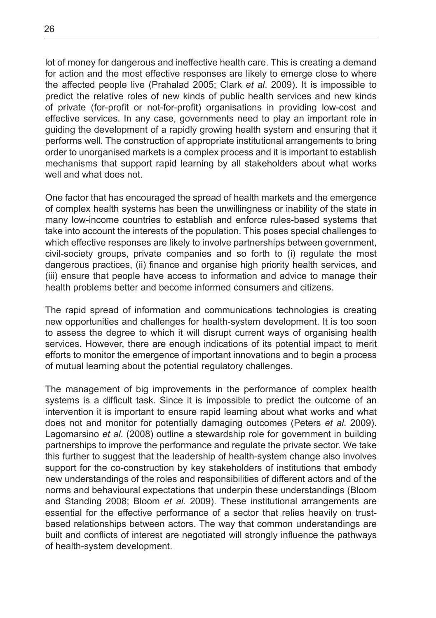lot of money for dangerous and ineffective health care. This is creating a demand for action and the most effective responses are likely to emerge close to where the affected people live (Prahalad 2005; Clark *et al*. 2009). It is impossible to predict the relative roles of new kinds of public health services and new kinds of private (for-profit or not-for-profit) organisations in providing low-cost and effective services. In any case, governments need to play an important role in guiding the development of a rapidly growing health system and ensuring that it performs well. The construction of appropriate institutional arrangements to bring order to unorganised markets is a complex process and it is important to establish mechanisms that support rapid learning by all stakeholders about what works well and what does not.

One factor that has encouraged the spread of health markets and the emergence of complex health systems has been the unwillingness or inability of the state in many low-income countries to establish and enforce rules-based systems that take into account the interests of the population. This poses special challenges to which effective responses are likely to involve partnerships between government, civil-society groups, private companies and so forth to (i) regulate the most dangerous practices, (ii) finance and organise high priority health services, and (iii) ensure that people have access to information and advice to manage their health problems better and become informed consumers and citizens.

The rapid spread of information and communications technologies is creating new opportunities and challenges for health-system development. It is too soon to assess the degree to which it will disrupt current ways of organising health services. However, there are enough indications of its potential impact to merit efforts to monitor the emergence of important innovations and to begin a process of mutual learning about the potential regulatory challenges.

The management of big improvements in the performance of complex health systems is a difficult task. Since it is impossible to predict the outcome of an intervention it is important to ensure rapid learning about what works and what does not and monitor for potentially damaging outcomes (Peters *et al*. 2009). Lagomarsino *et al*. (2008) outline a stewardship role for government in building partnerships to improve the performance and regulate the private sector. We take this further to suggest that the leadership of health-system change also involves support for the co-construction by key stakeholders of institutions that embody new understandings of the roles and responsibilities of different actors and of the norms and behavioural expectations that underpin these understandings (Bloom and Standing 2008; Bloom *et al*. 2009). These institutional arrangements are essential for the effective performance of a sector that relies heavily on trustbased relationships between actors. The way that common understandings are built and conflicts of interest are negotiated will strongly influence the pathways of health-system development.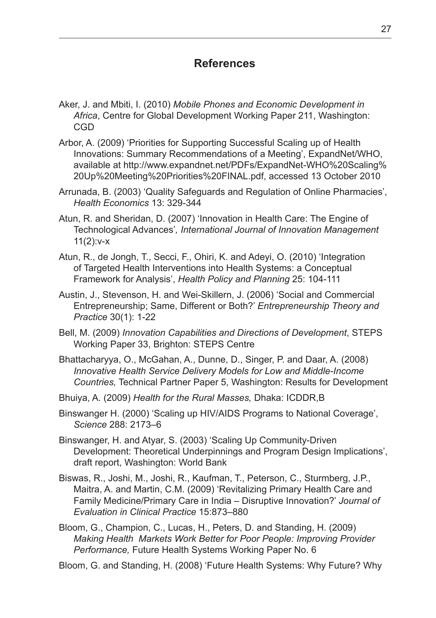#### **References**

- Aker, J. and Mbiti, I. (2010) *Mobile Phones and Economic Development in Africa*, Centre for Global Development Working Paper 211, Washington: CGD
- Arbor, A. (2009) 'Priorities for Supporting Successful Scaling up of Health Innovations: Summary Recommendations of a Meeting', ExpandNet/WHO, available at http://www.expandnet.net/PDFs/ExpandNet-WHO%20Scaling% 20Up%20Meeting%20Priorities%20FINAL.pdf, accessed 13 October 2010
- Arrunada, B. (2003) 'Quality Safeguards and Regulation of Online Pharmacies', *Health Economics* 13: 329-344
- Atun, R. and Sheridan, D. (2007) 'Innovation in Health Care: The Engine of Technological Advances'*, International Journal of Innovation Management*  $11(2):v-x$
- Atun, R., de Jongh, T., Secci, F., Ohiri, K. and Adeyi, O. (2010) 'Integration of Targeted Health Interventions into Health Systems: a Conceptual Framework for Analysis', *Health Policy and Planning* 25: 104-111
- Austin, J., Stevenson, H. and Wei-Skillern, J. (2006) 'Social and Commercial Entrepreneurship; Same, Different or Both?' *Entrepreneurship Theory and Practice* 30(1): 1-22
- Bell, M. (2009) *Innovation Capabilities and Directions of Development*, STEPS Working Paper 33, Brighton: STEPS Centre
- Bhattacharyya, O., McGahan, A., Dunne, D., Singer, P. and Daar, A. (2008) *Innovative Health Service Delivery Models for Low and Middle-Income Countries,* Technical Partner Paper 5, Washington: Results for Development
- Bhuiya, A. (2009) *Health for the Rural Masses,* Dhaka: ICDDR,B
- Binswanger H. (2000) 'Scaling up HIV/AIDS Programs to National Coverage', *Science* 288: 2173–6
- Binswanger, H. and Atyar, S. (2003) 'Scaling Up Community-Driven Development: Theoretical Underpinnings and Program Design Implications', draft report, Washington: World Bank
- Biswas, R., Joshi, M., Joshi, R., Kaufman, T., Peterson, C., Sturmberg, J.P., Maitra, A. and Martin, C.M. (2009) 'Revitalizing Primary Health Care and Family Medicine/Primary Care in India – Disruptive Innovation?' *Journal of Evaluation in Clinical Practice* 15:873–880
- Bloom, G., Champion, C., Lucas, H., Peters, D. and Standing, H. (2009) *Making Health Markets Work Better for Poor People: Improving Provider Performance,* Future Health Systems Working Paper No. 6
- Bloom, G. and Standing, H. (2008) 'Future Health Systems: Why Future? Why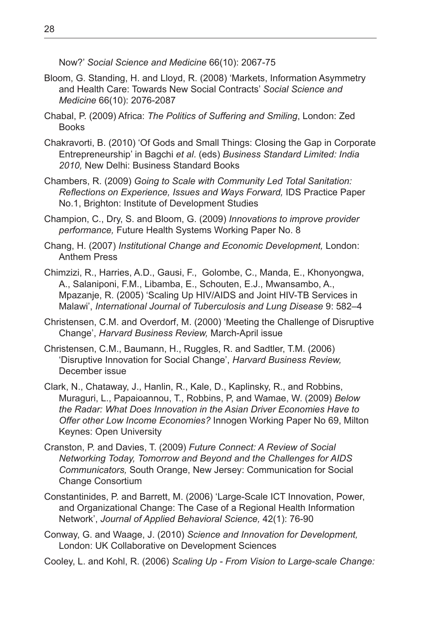Now?' *Social Science and Medicine* 66(10): 2067-75

- Bloom, G. Standing, H. and Lloyd, R. (2008) 'Markets, Information Asymmetry and Health Care: Towards New Social Contracts' *Social Science and Medicine* 66(10): 2076-2087
- Chabal, P. (2009) Africa: *The Politics of Suffering and Smiling*, London: Zed **Books**
- Chakravorti, B. (2010) 'Of Gods and Small Things: Closing the Gap in Corporate Entrepreneurship' in Bagchi *et al*. (eds) *Business Standard Limited: India 2010,* New Delhi: Business Standard Books
- Chambers, R. (2009) *Going to Scale with Community Led Total Sanitation: Reflections on Experience, Issues and Ways Forward,* IDS Practice Paper No.1, Brighton: Institute of Development Studies
- Champion, C., Dry, S. and Bloom, G. (2009) *Innovations to improve provider performance,* Future Health Systems Working Paper No. 8
- Chang, H. (2007) *Institutional Change and Economic Development,* London: Anthem Press
- Chimzizi, R., Harries, A.D., Gausi, F., Golombe, C., Manda, E., Khonyongwa, A., Salaniponi, F.M., Libamba, E., Schouten, E.J., Mwansambo, A., Mpazanje, R. (2005) 'Scaling Up HIV/AIDS and Joint HIV-TB Services in Malawi', *International Journal of Tuberculosis and Lung Disease* 9: 582–4
- Christensen, C.M. and Overdorf, M. (2000) 'Meeting the Challenge of Disruptive Change', *Harvard Business Review,* March-April issue
- Christensen, C.M., Baumann, H., Ruggles, R. and Sadtler, T.M. (2006) 'Disruptive Innovation for Social Change', *Harvard Business Review,*  December issue
- Clark, N., Chataway, J., Hanlin, R., Kale, D., Kaplinsky, R., and Robbins, Muraguri, L., Papaioannou, T., Robbins, P, and Wamae, W. (2009) *Below the Radar: What Does Innovation in the Asian Driver Economies Have to Offer other Low Income Economies?* Innogen Working Paper No 69, Milton Keynes: Open University
- Cranston, P. and Davies, T. (2009) *Future Connect: A Review of Social Networking Today, Tomorrow and Beyond and the Challenges for AIDS Communicators,* South Orange, New Jersey: Communication for Social Change Consortium
- Constantinides, P. and Barrett, M. (2006) 'Large-Scale ICT Innovation, Power, and Organizational Change: The Case of a Regional Health Information Network', *Journal of Applied Behavioral Science,* 42(1): 76-90
- Conway, G. and Waage, J. (2010) *Science and Innovation for Development,* London: UK Collaborative on Development Sciences

Cooley, L. and Kohl, R. (2006) *Scaling Up - From Vision to Large-scale Change:*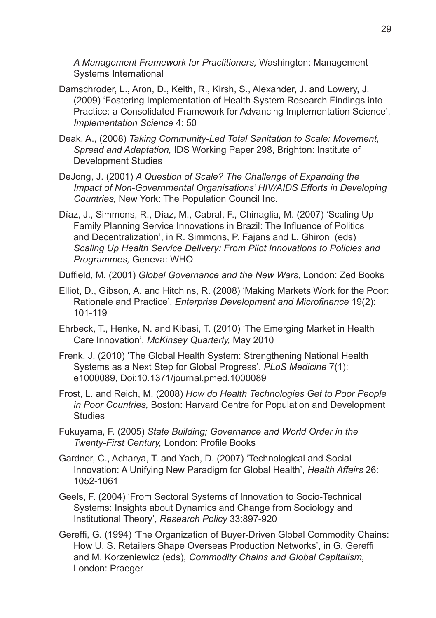*A Management Framework for Practitioners,* Washington: Management Systems International

- Damschroder, L., Aron, D., Keith, R., Kirsh, S., Alexander, J. and Lowery, J. (2009) 'Fostering Implementation of Health System Research Findings into Practice: a Consolidated Framework for Advancing Implementation Science', *Implementation Science* 4: 50
- Deak, A., (2008) *Taking Community-Led Total Sanitation to Scale: Movement, Spread and Adaptation,* IDS Working Paper 298, Brighton: Institute of Development Studies
- DeJong, J. (2001) *A Question of Scale? The Challenge of Expanding the Impact of Non-Governmental Organisations' HIV/AIDS Efforts in Developing Countries,* New York: The Population Council Inc.
- Díaz, J., Simmons, R., Díaz, M., Cabral, F., Chinaglia, M. (2007) 'Scaling Up Family Planning Service Innovations in Brazil: The Influence of Politics and Decentralization', in R. Simmons, P. Fajans and L. Ghiron (eds) *Scaling Up Health Service Delivery: From Pilot Innovations to Policies and Programmes,* Geneva: WHO

Duffield, M. (2001) *Global Governance and the New Wars*, London: Zed Books

- Elliot, D., Gibson, A. and Hitchins, R. (2008) 'Making Markets Work for the Poor: Rationale and Practice', *Enterprise Development and Microfinance* 19(2): 101-119
- Ehrbeck, T., Henke, N. and Kibasi, T. (2010) 'The Emerging Market in Health Care Innovation', *McKinsey Quarterly,* May 2010
- Frenk, J. (2010) 'The Global Health System: Strengthening National Health Systems as a Next Step for Global Progress'. *PLoS Medicine* 7(1): e1000089, Doi:10.1371/journal.pmed.1000089
- Frost, L. and Reich, M. (2008) *How do Health Technologies Get to Poor People in Poor Countries,* Boston: Harvard Centre for Population and Development **Studies**
- Fukuyama, F. (2005) *State Building; Governance and World Order in the Twenty-First Century,* London: Profile Books
- Gardner, C., Acharya, T. and Yach, D. (2007) 'Technological and Social Innovation: A Unifying New Paradigm for Global Health', *Health Affairs* 26: 1052-1061
- Geels, F. (2004) 'From Sectoral Systems of Innovation to Socio-Technical Systems: Insights about Dynamics and Change from Sociology and Institutional Theory', *Research Policy* 33:897-920
- Gereffi, G. (1994) 'The Organization of Buyer-Driven Global Commodity Chains: How U. S. Retailers Shape Overseas Production Networks', in G. Gereffi and M. Korzeniewicz (eds), *Commodity Chains and Global Capitalism,*  London: Praeger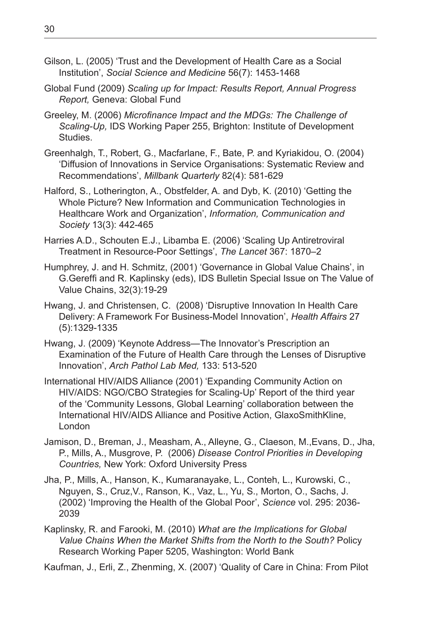- Gilson, L. (2005) 'Trust and the Development of Health Care as a Social Institution', *Social Science and Medicine* 56(7): 1453-1468
- Global Fund (2009) *Scaling up for Impact: Results Report, Annual Progress Report,* Geneva: Global Fund
- Greeley, M. (2006) *Microfinance Impact and the MDGs: The Challenge of Scaling-Up,* IDS Working Paper 255, Brighton: Institute of Development Studies.
- Greenhalgh, T., Robert, G., Macfarlane, F., Bate, P. and Kyriakidou, O. (2004) 'Diffusion of Innovations in Service Organisations: Systematic Review and Recommendations', *Millbank Quarterly* 82(4): 581-629
- Halford, S., Lotherington, A., Obstfelder, A. and Dyb, K. (2010) 'Getting the Whole Picture? New Information and Communication Technologies in Healthcare Work and Organization', *Information, Communication and Society* 13(3): 442-465
- Harries A.D., Schouten E.J., Libamba E. (2006) 'Scaling Up Antiretroviral Treatment in Resource-Poor Settings', *The Lancet* 367: 1870–2
- Humphrey, J. and H. Schmitz, (2001) 'Governance in Global Value Chains', in G.Gereffi and R. Kaplinsky (eds), IDS Bulletin Special Issue on The Value of Value Chains, 32(3):19-29
- Hwang, J. and Christensen, C. (2008) 'Disruptive Innovation In Health Care Delivery: A Framework For Business-Model Innovation', *Health Affairs* 27 (5):1329-1335
- Hwang, J. (2009) 'Keynote Address—The Innovator's Prescription an Examination of the Future of Health Care through the Lenses of Disruptive Innovation', *Arch Pathol Lab Med,* 133: 513-520
- International HIV/AIDS Alliance (2001) 'Expanding Community Action on HIV/AIDS: NGO/CBO Strategies for Scaling-Up' Report of the third year of the 'Community Lessons, Global Learning' collaboration between the International HIV/AIDS Alliance and Positive Action, GlaxoSmithKline, London
- Jamison, D., Breman, J., Measham, A., Alleyne, G., Claeson, M.,Evans, D., Jha, P., Mills, A., Musgrove, P. (2006) *Disease Control Priorities in Developing Countries,* New York: Oxford University Press
- Jha, P., Mills, A., Hanson, K., Kumaranayake, L., Conteh, L., Kurowski, C., Nguyen, S., Cruz,V., Ranson, K., Vaz, L., Yu, S., Morton, O., Sachs, J. (2002) 'Improving the Health of the Global Poor', *Science* vol. 295: 2036- 2039
- Kaplinsky, R. and Farooki, M. (2010) *What are the Implications for Global Value Chains When the Market Shifts from the North to the South?* Policy Research Working Paper 5205, Washington: World Bank
- Kaufman, J., Erli, Z., Zhenming, X. (2007) 'Quality of Care in China: From Pilot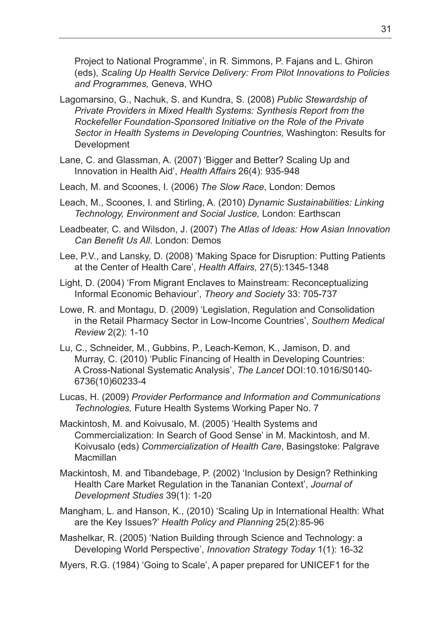Project to National Programme', in R. Simmons, P. Fajans and L. Ghiron (eds), *Scaling Up Health Service Delivery: From Pilot Innovations to Policies and Programmes,* Geneva, WHO

- Lagomarsino, G., Nachuk, S. and Kundra, S. (2008) *Public Stewardship of Private Providers in Mixed Health Systems: Synthesis Report from the Rockefeller Foundation-Sponsored Initiative on the Role of the Private Sector in Health Systems in Developing Countries,* Washington: Results for Development
- Lane, C. and Glassman, A. (2007) 'Bigger and Better? Scaling Up and Innovation in Health Aid', *Health Affairs* 26(4): 935-948
- Leach, M. and Scoones, I. (2006) *The Slow Race*, London: Demos
- Leach, M., Scoones, I. and Stirling, A. (2010) *Dynamic Sustainabilities: Linking Technology, Environment and Social Justice,* London: Earthscan
- Leadbeater, C. and Wilsdon, J. (2007) *The Atlas of Ideas: How Asian Innovation Can Benefit Us All*. London: Demos
- Lee, P.V., and Lansky, D. (2008) 'Making Space for Disruption: Putting Patients at the Center of Health Care', *Health Affairs,* 27(5):1345-1348
- Light, D. (2004) 'From Migrant Enclaves to Mainstream: Reconceptualizing Informal Economic Behaviour', *Theory and Society* 33: 705-737
- Lowe, R. and Montagu, D. (2009) 'Legislation, Regulation and Consolidation in the Retail Pharmacy Sector in Low-Income Countries', *Southern Medical Review* 2(2): 1-10
- Lu, C., Schneider, M., Gubbins, P., Leach-Kemon, K., Jamison, D. and Murray, C. (2010) 'Public Financing of Health in Developing Countries: A Cross-National Systematic Analysis', *The Lancet* DOI:10.1016/S0140- 6736(10)60233-4
- Lucas, H. (2009) *Provider Performance and Information and Communications Technologies,* Future Health Systems Working Paper No. 7
- Mackintosh, M. and Koivusalo, M. (2005) 'Health Systems and Commercialization: In Search of Good Sense' in M. Mackintosh, and M. Koivusalo (eds) *Commercialization of Health Care*, Basingstoke: Palgrave Macmillan
- Mackintosh, M. and Tibandebage, P. (2002) 'Inclusion by Design? Rethinking Health Care Market Regulation in the Tananian Context', *Journal of Development Studies* 39(1): 1-20
- Mangham, L. and Hanson, K., (2010) 'Scaling Up in International Health: What are the Key Issues?' *Health Policy and Planning* 25(2):85-96
- Mashelkar, R. (2005) 'Nation Building through Science and Technology: a Developing World Perspective', *Innovation Strategy Today* 1(1): 16-32
- Myers, R.G. (1984) 'Going to Scale', A paper prepared for UNICEF1 for the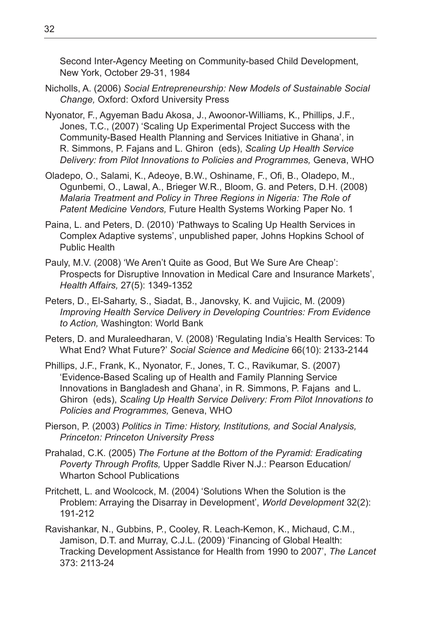Second Inter-Agency Meeting on Community-based Child Development, New York, October 29-31, 1984

- Nicholls, A. (2006) *Social Entrepreneurship: New Models of Sustainable Social Change,* Oxford: Oxford University Press
- Nyonator, F., Agyeman Badu Akosa, J., Awoonor-Williams, K., Phillips, J.F., Jones, T.C., (2007) 'Scaling Up Experimental Project Success with the Community-Based Health Planning and Services Initiative in Ghana', in R. Simmons, P. Fajans and L. Ghiron (eds), *Scaling Up Health Service Delivery: from Pilot Innovations to Policies and Programmes,* Geneva, WHO
- Oladepo, O., Salami, K., Adeoye, B.W., Oshiname, F., Ofi, B., Oladepo, M., Ogunbemi, O., Lawal, A., Brieger W.R., Bloom, G. and Peters, D.H. (2008) *Malaria Treatment and Policy in Three Regions in Nigeria: The Role of Patent Medicine Vendors,* Future Health Systems Working Paper No. 1
- Paina, L. and Peters, D. (2010) 'Pathways to Scaling Up Health Services in Complex Adaptive systems', unpublished paper, Johns Hopkins School of Public Health
- Pauly, M.V. (2008) 'We Aren't Quite as Good, But We Sure Are Cheap': Prospects for Disruptive Innovation in Medical Care and Insurance Markets', *Health Affairs,* 27(5): 1349-1352
- Peters, D., El-Saharty, S., Siadat, B., Janovsky, K. and Vujicic, M. (2009) *Improving Health Service Delivery in Developing Countries: From Evidence to Action,* Washington: World Bank
- Peters, D. and Muraleedharan, V. (2008) 'Regulating India's Health Services: To What End? What Future?' *Social Science and Medicine* 66(10): 2133-2144
- Phillips, J.F., Frank, K., Nyonator, F., Jones, T. C., Ravikumar, S. (2007) 'Evidence-Based Scaling up of Health and Family Planning Service Innovations in Bangladesh and Ghana', in R. Simmons, P. Fajans and L. Ghiron (eds), *Scaling Up Health Service Delivery: From Pilot Innovations to Policies and Programmes,* Geneva, WHO
- Pierson, P. (2003) *Politics in Time: History, Institutions, and Social Analysis, Princeton: Princeton University Press*
- Prahalad, C.K. (2005) *The Fortune at the Bottom of the Pyramid: Eradicating Poverty Through Profits,* Upper Saddle River N.J.: Pearson Education/ Wharton School Publications
- Pritchett, L. and Woolcock, M. (2004) 'Solutions When the Solution is the Problem: Arraying the Disarray in Development', *World Development* 32(2): 191-212
- Ravishankar, N., Gubbins, P., Cooley, R. Leach-Kemon, K., Michaud, C.M., Jamison, D.T. and Murray, C.J.L. (2009) 'Financing of Global Health: Tracking Development Assistance for Health from 1990 to 2007', *The Lancet*  373: 2113-24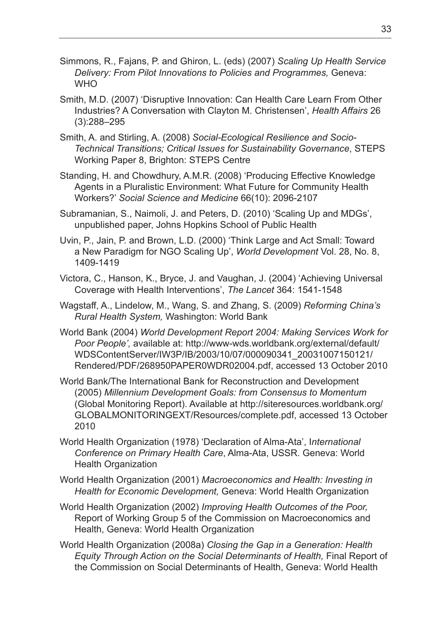- Simmons, R., Fajans, P. and Ghiron, L. (eds) (2007) *Scaling Up Health Service Delivery: From Pilot Innovations to Policies and Programmes,* Geneva: **WHO**
- Smith, M.D. (2007) 'Disruptive Innovation: Can Health Care Learn From Other Industries? A Conversation with Clayton M. Christensen', *Health Affairs* 26 (3):288–295
- Smith, A. and Stirling, A. (2008) *Social-Ecological Resilience and Socio-Technical Transitions; Critical Issues for Sustainability Governance*, STEPS Working Paper 8, Brighton: STEPS Centre
- Standing, H. and Chowdhury, A.M.R. (2008) 'Producing Effective Knowledge Agents in a Pluralistic Environment: What Future for Community Health Workers?' *Social Science and Medicine* 66(10): 2096-2107
- Subramanian, S., Naimoli, J. and Peters, D. (2010) 'Scaling Up and MDGs', unpublished paper, Johns Hopkins School of Public Health
- Uvin, P., Jain, P. and Brown, L.D. (2000) 'Think Large and Act Small: Toward a New Paradigm for NGO Scaling Up', *World Development* Vol. 28, No. 8, 1409-1419
- Victora, C., Hanson, K., Bryce, J. and Vaughan, J. (2004) 'Achieving Universal Coverage with Health Interventions', *The Lancet* 364: 1541-1548
- Wagstaff, A., Lindelow, M., Wang, S. and Zhang, S. (2009) *Reforming China's Rural Health System,* Washington: World Bank
- World Bank (2004) *World Development Report 2004: Making Services Work for Poor People',* available at: http://www-wds.worldbank.org/external/default/ WDSContentServer/IW3P/IB/2003/10/07/000090341\_20031007150121/ Rendered/PDF/268950PAPER0WDR02004.pdf, accessed 13 October 2010
- World Bank/The International Bank for Reconstruction and Development (2005) *Millennium Development Goals: from Consensus to Momentum* (Global Monitoring Report). Available at http://siteresources.worldbank.org/ GLOBALMONITORINGEXT/Resources/complete.pdf, accessed 13 October 2010
- World Health Organization (1978) 'Declaration of Alma-Ata', I*nternational Conference on Primary Health Care*, Alma-Ata, USSR. Geneva: World Health Organization
- World Health Organization (2001) *Macroeconomics and Health: Investing in Health for Economic Development,* Geneva: World Health Organization
- World Health Organization (2002) *Improving Health Outcomes of the Poor,* Report of Working Group 5 of the Commission on Macroeconomics and Health, Geneva: World Health Organization
- World Health Organization (2008a) *Closing the Gap in a Generation: Health Equity Through Action on the Social Determinants of Health,* Final Report of the Commission on Social Determinants of Health, Geneva: World Health